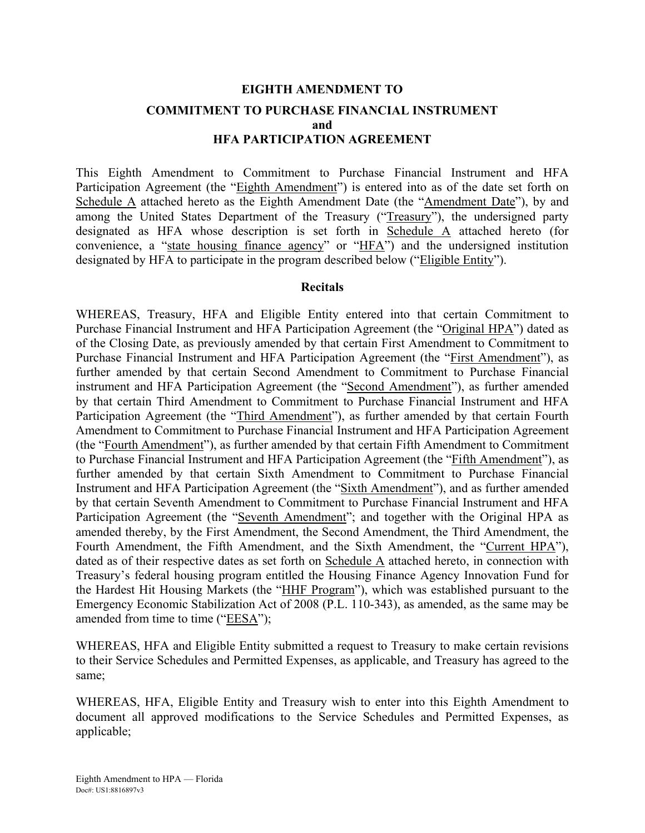# **EIGHTH AMENDMENT TO COMMITMENT TO PURCHASE FINANCIAL INSTRUMENT and HFA PARTICIPATION AGREEMENT**

This Eighth Amendment to Commitment to Purchase Financial Instrument and HFA Participation Agreement (the "Eighth Amendment") is entered into as of the date set forth on Schedule A attached hereto as the Eighth Amendment Date (the "Amendment Date"), by and among the United States Department of the Treasury ("Treasury"), the undersigned party designated as HFA whose description is set forth in Schedule A attached hereto (for convenience, a "state housing finance agency" or "HFA") and the undersigned institution designated by HFA to participate in the program described below ("Eligible Entity").

#### **Recitals**

WHEREAS, Treasury, HFA and Eligible Entity entered into that certain Commitment to Purchase Financial Instrument and HFA Participation Agreement (the "Original HPA") dated as of the Closing Date, as previously amended by that certain First Amendment to Commitment to Purchase Financial Instrument and HFA Participation Agreement (the "First Amendment"), as further amended by that certain Second Amendment to Commitment to Purchase Financial instrument and HFA Participation Agreement (the "Second Amendment"), as further amended by that certain Third Amendment to Commitment to Purchase Financial Instrument and HFA Participation Agreement (the "Third Amendment"), as further amended by that certain Fourth Amendment to Commitment to Purchase Financial Instrument and HFA Participation Agreement (the "Fourth Amendment"), as further amended by that certain Fifth Amendment to Commitment to Purchase Financial Instrument and HFA Participation Agreement (the "Fifth Amendment"), as further amended by that certain Sixth Amendment to Commitment to Purchase Financial Instrument and HFA Participation Agreement (the "Sixth Amendment"), and as further amended by that certain Seventh Amendment to Commitment to Purchase Financial Instrument and HFA Participation Agreement (the "Seventh Amendment"; and together with the Original HPA as amended thereby, by the First Amendment, the Second Amendment, the Third Amendment, the Fourth Amendment, the Fifth Amendment, and the Sixth Amendment, the "Current HPA"), dated as of their respective dates as set forth on Schedule A attached hereto, in connection with Treasury's federal housing program entitled the Housing Finance Agency Innovation Fund for the Hardest Hit Housing Markets (the "HHF Program"), which was established pursuant to the Emergency Economic Stabilization Act of 2008 (P.L. 110-343), as amended, as the same may be amended from time to time ("EESA");

WHEREAS, HFA and Eligible Entity submitted a request to Treasury to make certain revisions to their Service Schedules and Permitted Expenses, as applicable, and Treasury has agreed to the same;

WHEREAS, HFA, Eligible Entity and Treasury wish to enter into this Eighth Amendment to document all approved modifications to the Service Schedules and Permitted Expenses, as applicable;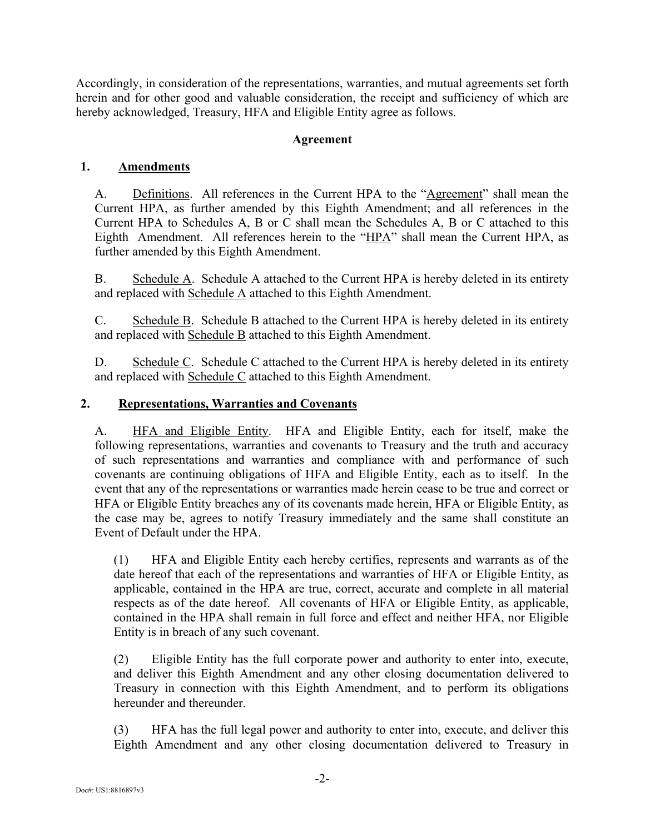Accordingly, in consideration of the representations, warranties, and mutual agreements set forth herein and for other good and valuable consideration, the receipt and sufficiency of which are hereby acknowledged, Treasury, HFA and Eligible Entity agree as follows.

### **Agreement**

### **1. Amendments**

A. Definitions. All references in the Current HPA to the "Agreement" shall mean the Current HPA, as further amended by this Eighth Amendment; and all references in the Current HPA to Schedules A, B or C shall mean the Schedules A, B or C attached to this Eighth Amendment. All references herein to the "HPA" shall mean the Current HPA, as further amended by this Eighth Amendment.

B. Schedule A. Schedule A attached to the Current HPA is hereby deleted in its entirety and replaced with Schedule A attached to this Eighth Amendment.

C. Schedule B. Schedule B attached to the Current HPA is hereby deleted in its entirety and replaced with Schedule B attached to this Eighth Amendment.

D. Schedule C. Schedule C attached to the Current HPA is hereby deleted in its entirety and replaced with Schedule C attached to this Eighth Amendment.

### **2. Representations, Warranties and Covenants**

A. **HFA and Eligible Entity.** HFA and Eligible Entity, each for itself, make the following representations, warranties and covenants to Treasury and the truth and accuracy of such representations and warranties and compliance with and performance of such covenants are continuing obligations of HFA and Eligible Entity, each as to itself. In the event that any of the representations or warranties made herein cease to be true and correct or HFA or Eligible Entity breaches any of its covenants made herein, HFA or Eligible Entity, as the case may be, agrees to notify Treasury immediately and the same shall constitute an Event of Default under the HPA.

(1) HFA and Eligible Entity each hereby certifies, represents and warrants as of the date hereof that each of the representations and warranties of HFA or Eligible Entity, as applicable, contained in the HPA are true, correct, accurate and complete in all material respects as of the date hereof. All covenants of HFA or Eligible Entity, as applicable, contained in the HPA shall remain in full force and effect and neither HFA, nor Eligible Entity is in breach of any such covenant.

(2) Eligible Entity has the full corporate power and authority to enter into, execute, and deliver this Eighth Amendment and any other closing documentation delivered to Treasury in connection with this Eighth Amendment, and to perform its obligations hereunder and thereunder

(3) HFA has the full legal power and authority to enter into, execute, and deliver this Eighth Amendment and any other closing documentation delivered to Treasury in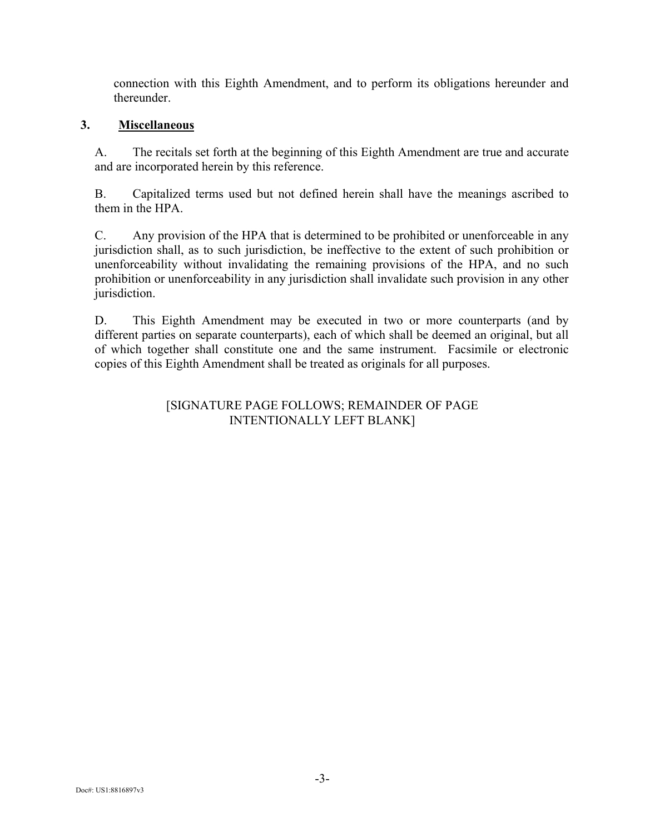connection with this Eighth Amendment, and to perform its obligations hereunder and thereunder.

#### **3. Miscellaneous**

A. The recitals set forth at the beginning of this Eighth Amendment are true and accurate and are incorporated herein by this reference.

B. Capitalized terms used but not defined herein shall have the meanings ascribed to them in the HPA.

C. Any provision of the HPA that is determined to be prohibited or unenforceable in any jurisdiction shall, as to such jurisdiction, be ineffective to the extent of such prohibition or unenforceability without invalidating the remaining provisions of the HPA, and no such prohibition or unenforceability in any jurisdiction shall invalidate such provision in any other jurisdiction.

D. This Eighth Amendment may be executed in two or more counterparts (and by different parties on separate counterparts), each of which shall be deemed an original, but all of which together shall constitute one and the same instrument. Facsimile or electronic copies of this Eighth Amendment shall be treated as originals for all purposes.

### [SIGNATURE PAGE FOLLOWS; REMAINDER OF PAGE INTENTIONALLY LEFT BLANK]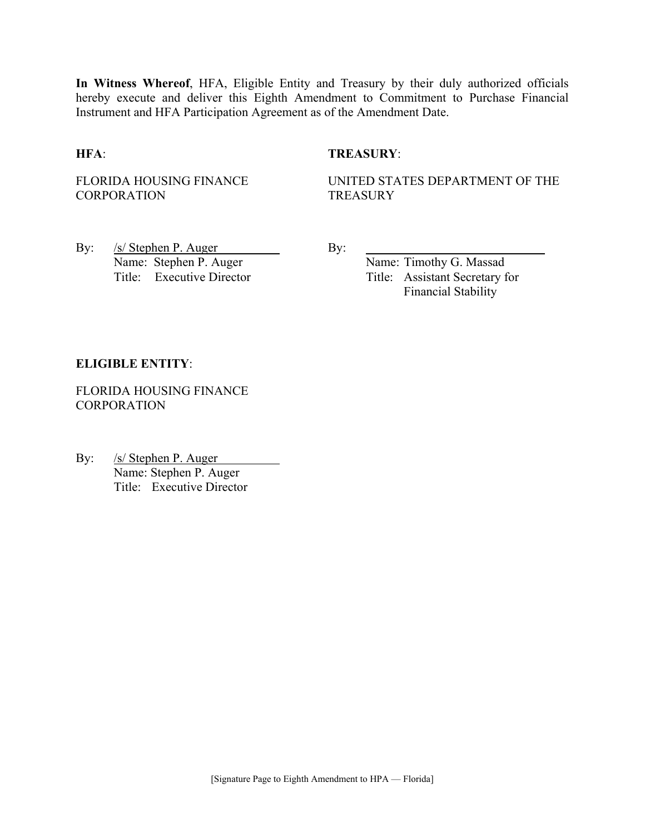**In Witness Whereof**, HFA, Eligible Entity and Treasury by their duly authorized officials hereby execute and deliver this Eighth Amendment to Commitment to Purchase Financial Instrument and HFA Participation Agreement as of the Amendment Date.

#### **HFA**: **TREASURY**:

FLORIDA HOUSING FINANCE **CORPORATION** 

UNITED STATES DEPARTMENT OF THE **TREASURY** 

By:  $/s/$  Stephen P. Auger By: Name: Stephen P. Auger Name: Timothy G. Massad

Title: Executive Director Title: Assistant Secretary for Financial Stability

#### **ELIGIBLE ENTITY**:

FLORIDA HOUSING FINANCE **CORPORATION** 

By: /s/ Stephen P. Auger Name: Stephen P. Auger Title: Executive Director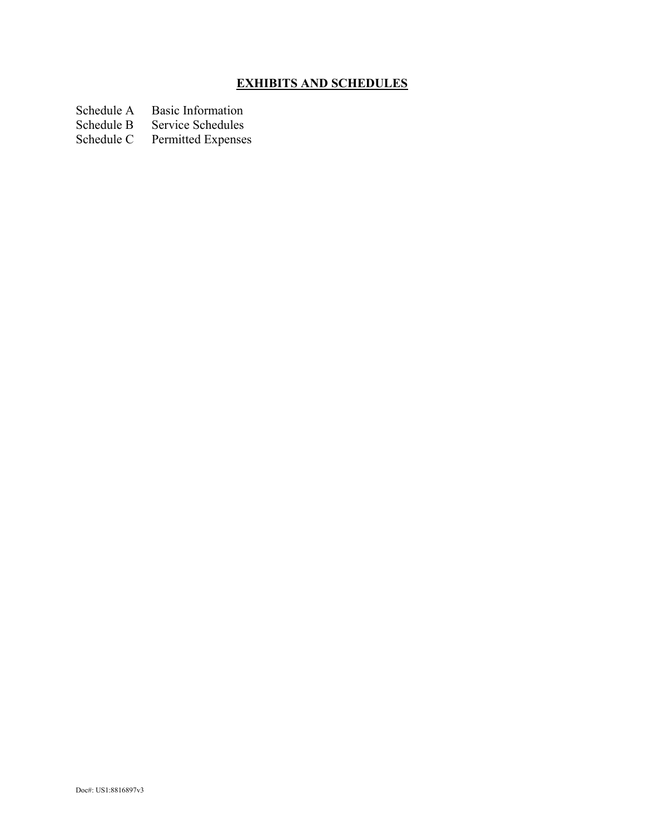# **EXHIBITS AND SCHEDULES**

- Schedule A Basic Information<br>Schedule B Service Schedules
- Schedule B Service Schedules<br>Schedule C Permitted Expenses
- Permitted Expenses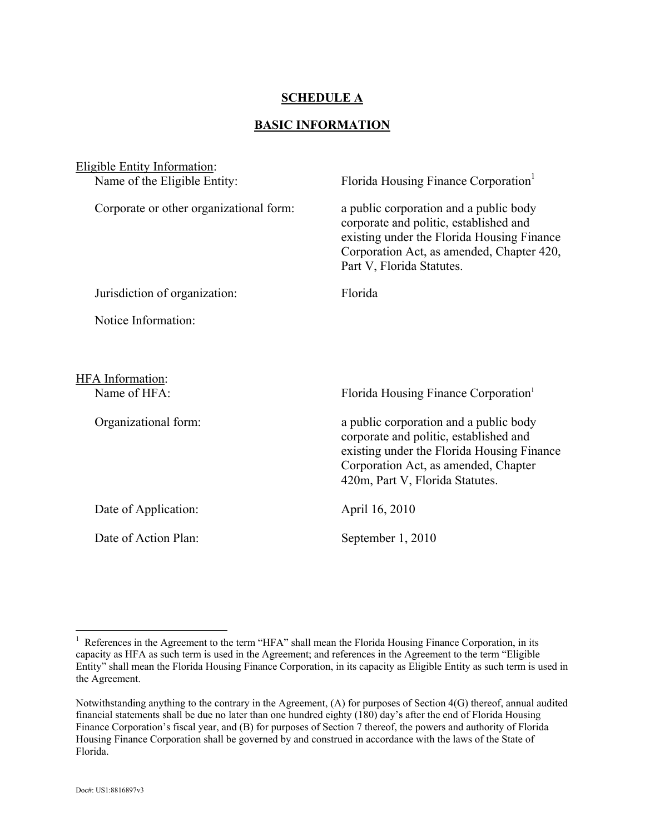### **SCHEDULE A**

#### **BASIC INFORMATION**

| <b>Eligible Entity Information:</b><br>Name of the Eligible Entity: | Florida Housing Finance Corporation <sup>1</sup>                                                                                                                                                          |
|---------------------------------------------------------------------|-----------------------------------------------------------------------------------------------------------------------------------------------------------------------------------------------------------|
| Corporate or other organizational form:                             | a public corporation and a public body<br>corporate and politic, established and<br>existing under the Florida Housing Finance<br>Corporation Act, as amended, Chapter 420,<br>Part V, Florida Statutes.  |
| Jurisdiction of organization:                                       | Florida                                                                                                                                                                                                   |
| Notice Information:                                                 |                                                                                                                                                                                                           |
| HFA Information:<br>Name of HFA:                                    | Florida Housing Finance Corporation <sup>1</sup>                                                                                                                                                          |
| Organizational form:                                                | a public corporation and a public body<br>corporate and politic, established and<br>existing under the Florida Housing Finance<br>Corporation Act, as amended, Chapter<br>420m, Part V, Florida Statutes. |
| Date of Application:                                                | April 16, 2010                                                                                                                                                                                            |
| Date of Action Plan:                                                | September 1, 2010                                                                                                                                                                                         |

1

<sup>&</sup>lt;sup>1</sup> References in the Agreement to the term "HFA" shall mean the Florida Housing Finance Corporation, in its capacity as HFA as such term is used in the Agreement; and references in the Agreement to the term "Eligible Entity" shall mean the Florida Housing Finance Corporation, in its capacity as Eligible Entity as such term is used in the Agreement.

Notwithstanding anything to the contrary in the Agreement, (A) for purposes of Section 4(G) thereof, annual audited financial statements shall be due no later than one hundred eighty (180) day's after the end of Florida Housing Finance Corporation's fiscal year, and (B) for purposes of Section 7 thereof, the powers and authority of Florida Housing Finance Corporation shall be governed by and construed in accordance with the laws of the State of Florida.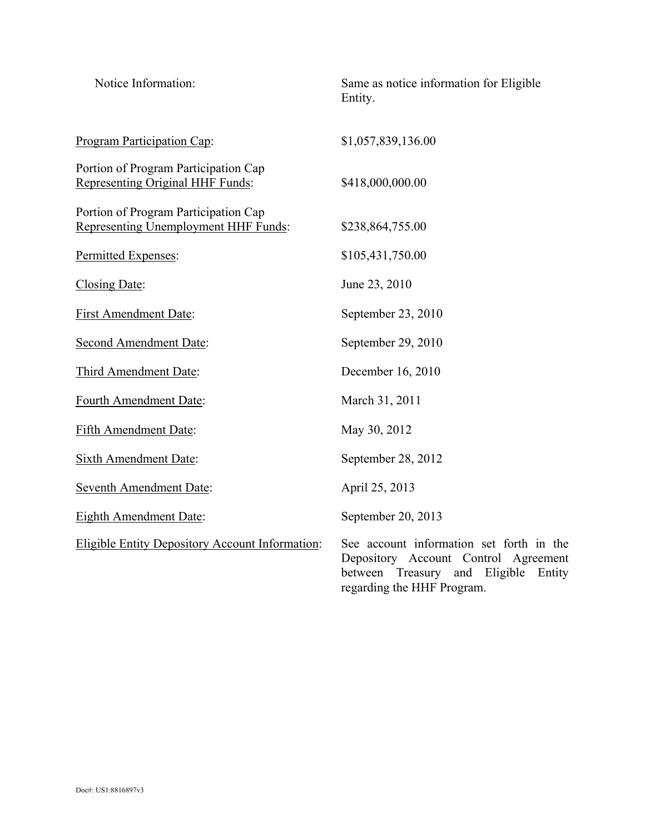| Notice Information:                                                                 | Same as notice information for Eligible<br>Entity.                                                                                                              |
|-------------------------------------------------------------------------------------|-----------------------------------------------------------------------------------------------------------------------------------------------------------------|
| <b>Program Participation Cap:</b>                                                   | \$1,057,839,136.00                                                                                                                                              |
| Portion of Program Participation Cap<br>Representing Original HHF Funds:            | \$418,000,000.00                                                                                                                                                |
| Portion of Program Participation Cap<br><b>Representing Unemployment HHF Funds:</b> | \$238,864,755.00                                                                                                                                                |
| Permitted Expenses:                                                                 | \$105,431,750.00                                                                                                                                                |
| Closing Date:                                                                       | June 23, 2010                                                                                                                                                   |
| <b>First Amendment Date:</b>                                                        | September 23, 2010                                                                                                                                              |
| <b>Second Amendment Date:</b>                                                       | September 29, 2010                                                                                                                                              |
| Third Amendment Date:                                                               | December 16, 2010                                                                                                                                               |
| Fourth Amendment Date:                                                              | March 31, 2011                                                                                                                                                  |
| <b>Fifth Amendment Date:</b>                                                        | May 30, 2012                                                                                                                                                    |
| <b>Sixth Amendment Date:</b>                                                        | September 28, 2012                                                                                                                                              |
| <b>Seventh Amendment Date:</b>                                                      | April 25, 2013                                                                                                                                                  |
| <b>Eighth Amendment Date:</b>                                                       | September 20, 2013                                                                                                                                              |
| <b>Eligible Entity Depository Account Information:</b>                              | See account information set forth in the<br>Depository Account Control Agreement<br>between<br>Treasury and<br>Eligible<br>Entity<br>regarding the HHF Program. |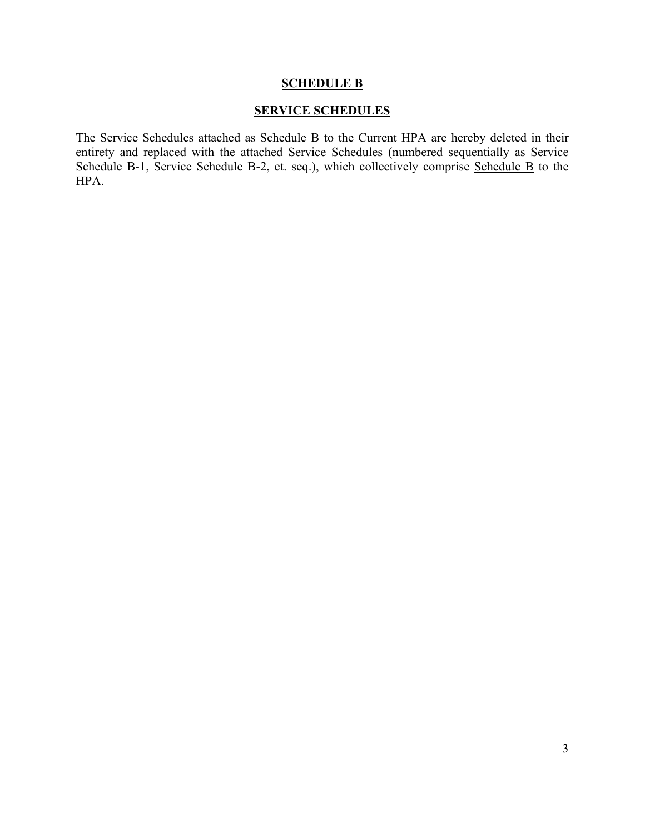#### **SCHEDULE B**

### **SERVICE SCHEDULES**

The Service Schedules attached as Schedule B to the Current HPA are hereby deleted in their entirety and replaced with the attached Service Schedules (numbered sequentially as Service Schedule B-1, Service Schedule B-2, et. seq.), which collectively comprise Schedule B to the HPA.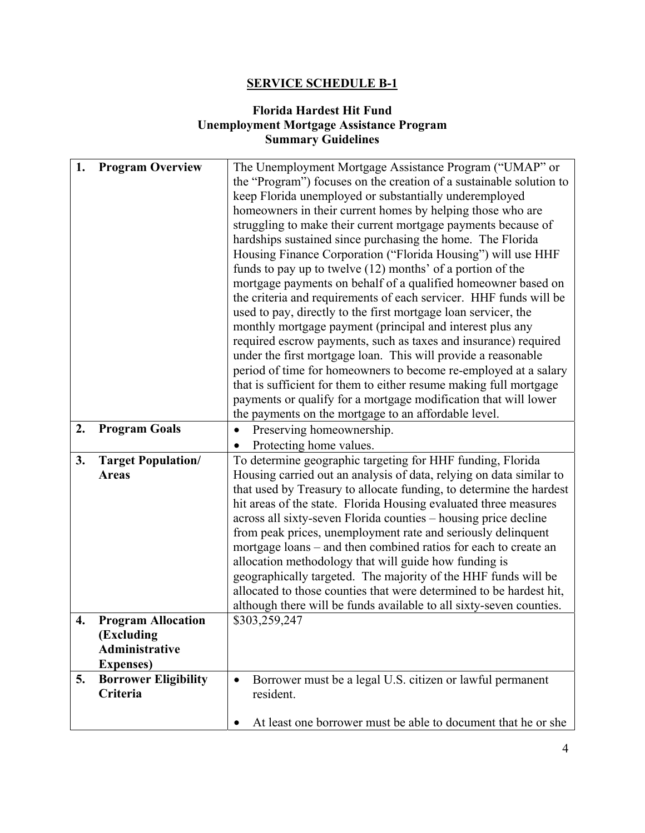# **SERVICE SCHEDULE B-1**

## **Florida Hardest Hit Fund Unemployment Mortgage Assistance Program Summary Guidelines**

| 1. | <b>Program Overview</b>     | The Unemployment Mortgage Assistance Program ("UMAP" or                |
|----|-----------------------------|------------------------------------------------------------------------|
|    |                             | the "Program") focuses on the creation of a sustainable solution to    |
|    |                             | keep Florida unemployed or substantially underemployed                 |
|    |                             | homeowners in their current homes by helping those who are             |
|    |                             | struggling to make their current mortgage payments because of          |
|    |                             | hardships sustained since purchasing the home. The Florida             |
|    |                             | Housing Finance Corporation ("Florida Housing") will use HHF           |
|    |                             | funds to pay up to twelve (12) months' of a portion of the             |
|    |                             | mortgage payments on behalf of a qualified homeowner based on          |
|    |                             | the criteria and requirements of each servicer. HHF funds will be      |
|    |                             | used to pay, directly to the first mortgage loan servicer, the         |
|    |                             | monthly mortgage payment (principal and interest plus any              |
|    |                             | required escrow payments, such as taxes and insurance) required        |
|    |                             | under the first mortgage loan. This will provide a reasonable          |
|    |                             | period of time for homeowners to become re-employed at a salary        |
|    |                             | that is sufficient for them to either resume making full mortgage      |
|    |                             | payments or qualify for a mortgage modification that will lower        |
|    |                             | the payments on the mortgage to an affordable level.                   |
| 2. | <b>Program Goals</b>        | Preserving homeownership.                                              |
|    |                             | Protecting home values.                                                |
| 3. | <b>Target Population/</b>   | To determine geographic targeting for HHF funding, Florida             |
|    | <b>Areas</b>                | Housing carried out an analysis of data, relying on data similar to    |
|    |                             | that used by Treasury to allocate funding, to determine the hardest    |
|    |                             | hit areas of the state. Florida Housing evaluated three measures       |
|    |                             | across all sixty-seven Florida counties – housing price decline        |
|    |                             | from peak prices, unemployment rate and seriously delinquent           |
|    |                             | mortgage loans – and then combined ratios for each to create an        |
|    |                             | allocation methodology that will guide how funding is                  |
|    |                             | geographically targeted. The majority of the HHF funds will be         |
|    |                             | allocated to those counties that were determined to be hardest hit,    |
|    |                             | although there will be funds available to all sixty-seven counties.    |
| 4. | <b>Program Allocation</b>   | \$303,259,247                                                          |
|    | (Excluding                  |                                                                        |
|    | <b>Administrative</b>       |                                                                        |
|    | <b>Expenses</b> )           |                                                                        |
| 5. | <b>Borrower Eligibility</b> | Borrower must be a legal U.S. citizen or lawful permanent<br>$\bullet$ |
|    | Criteria                    | resident.                                                              |
|    |                             |                                                                        |
|    |                             | At least one borrower must be able to document that he or she          |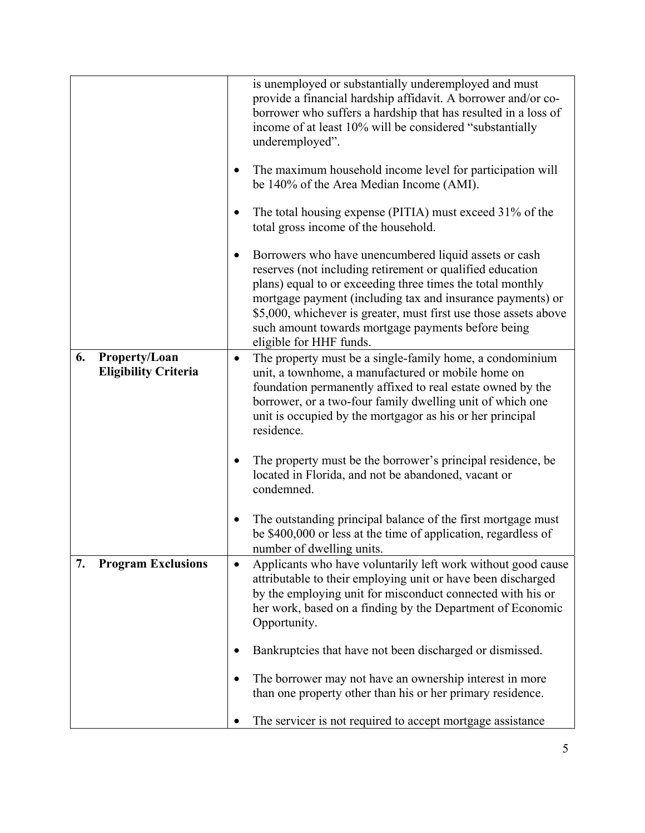|    |                                              |           | is unemployed or substantially underemployed and must<br>provide a financial hardship affidavit. A borrower and/or co-<br>borrower who suffers a hardship that has resulted in a loss of<br>income of at least 10% will be considered "substantially<br>underemployed".<br>The maximum household income level for participation will                                                                |
|----|----------------------------------------------|-----------|-----------------------------------------------------------------------------------------------------------------------------------------------------------------------------------------------------------------------------------------------------------------------------------------------------------------------------------------------------------------------------------------------------|
|    |                                              |           | be 140% of the Area Median Income (AMI).<br>The total housing expense (PITIA) must exceed 31% of the                                                                                                                                                                                                                                                                                                |
|    |                                              |           | total gross income of the household.                                                                                                                                                                                                                                                                                                                                                                |
|    |                                              |           | Borrowers who have unencumbered liquid assets or cash<br>reserves (not including retirement or qualified education<br>plans) equal to or exceeding three times the total monthly<br>mortgage payment (including tax and insurance payments) or<br>\$5,000, whichever is greater, must first use those assets above<br>such amount towards mortgage payments before being<br>eligible for HHF funds. |
| 6. | Property/Loan<br><b>Eligibility Criteria</b> | $\bullet$ | The property must be a single-family home, a condominium<br>unit, a townhome, a manufactured or mobile home on<br>foundation permanently affixed to real estate owned by the<br>borrower, or a two-four family dwelling unit of which one<br>unit is occupied by the mortgagor as his or her principal<br>residence.                                                                                |
|    |                                              |           | The property must be the borrower's principal residence, be<br>located in Florida, and not be abandoned, vacant or<br>condemned.                                                                                                                                                                                                                                                                    |
|    |                                              |           | The outstanding principal balance of the first mortgage must<br>be \$400,000 or less at the time of application, regardless of<br>number of dwelling units.                                                                                                                                                                                                                                         |
| 7. | <b>Program Exclusions</b>                    | $\bullet$ | Applicants who have voluntarily left work without good cause<br>attributable to their employing unit or have been discharged<br>by the employing unit for misconduct connected with his or<br>her work, based on a finding by the Department of Economic<br>Opportunity.                                                                                                                            |
|    |                                              |           | Bankruptcies that have not been discharged or dismissed.                                                                                                                                                                                                                                                                                                                                            |
|    |                                              |           | The borrower may not have an ownership interest in more<br>than one property other than his or her primary residence.                                                                                                                                                                                                                                                                               |
|    |                                              |           | The servicer is not required to accept mortgage assistance                                                                                                                                                                                                                                                                                                                                          |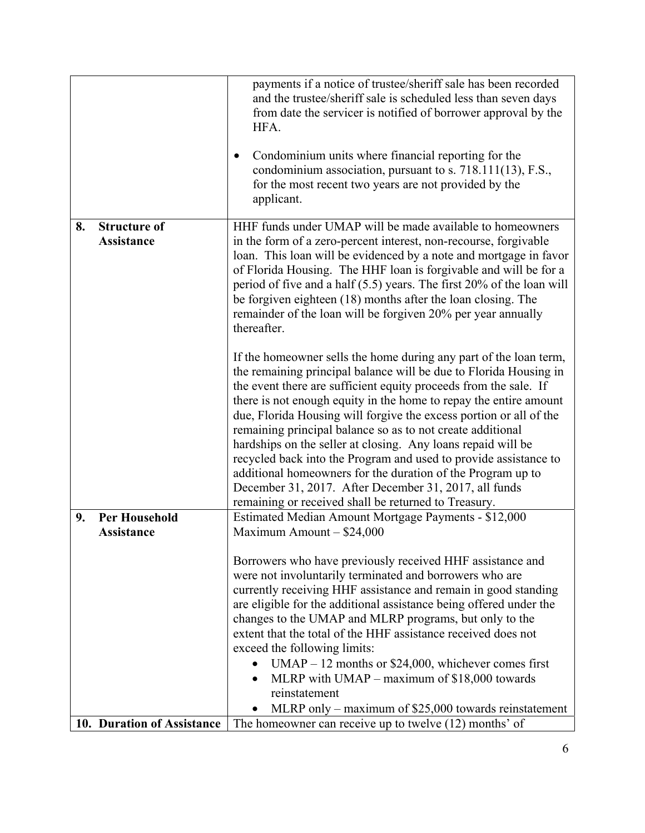|    |                                           | payments if a notice of trustee/sheriff sale has been recorded<br>and the trustee/sheriff sale is scheduled less than seven days<br>from date the servicer is notified of borrower approval by the<br>HFA.<br>Condominium units where financial reporting for the<br>condominium association, pursuant to s. 718.111(13), F.S.,<br>for the most recent two years are not provided by the<br>applicant.                                                                                                                                                                                                                                                                                                                                                                                                                                                                                                                                                                                                                                                                                                                                                                                                                                    |
|----|-------------------------------------------|-------------------------------------------------------------------------------------------------------------------------------------------------------------------------------------------------------------------------------------------------------------------------------------------------------------------------------------------------------------------------------------------------------------------------------------------------------------------------------------------------------------------------------------------------------------------------------------------------------------------------------------------------------------------------------------------------------------------------------------------------------------------------------------------------------------------------------------------------------------------------------------------------------------------------------------------------------------------------------------------------------------------------------------------------------------------------------------------------------------------------------------------------------------------------------------------------------------------------------------------|
| 8. | <b>Structure of</b><br><b>Assistance</b>  | HHF funds under UMAP will be made available to homeowners<br>in the form of a zero-percent interest, non-recourse, forgivable<br>loan. This loan will be evidenced by a note and mortgage in favor<br>of Florida Housing. The HHF loan is forgivable and will be for a<br>period of five and a half (5.5) years. The first 20% of the loan will<br>be forgiven eighteen (18) months after the loan closing. The<br>remainder of the loan will be forgiven 20% per year annually<br>thereafter.<br>If the homeowner sells the home during any part of the loan term,<br>the remaining principal balance will be due to Florida Housing in<br>the event there are sufficient equity proceeds from the sale. If<br>there is not enough equity in the home to repay the entire amount<br>due, Florida Housing will forgive the excess portion or all of the<br>remaining principal balance so as to not create additional<br>hardships on the seller at closing. Any loans repaid will be<br>recycled back into the Program and used to provide assistance to<br>additional homeowners for the duration of the Program up to<br>December 31, 2017. After December 31, 2017, all funds<br>remaining or received shall be returned to Treasury. |
| 9. | <b>Per Household</b><br><b>Assistance</b> | Estimated Median Amount Mortgage Payments - \$12,000<br>Maximum Amount - \$24,000                                                                                                                                                                                                                                                                                                                                                                                                                                                                                                                                                                                                                                                                                                                                                                                                                                                                                                                                                                                                                                                                                                                                                         |
|    |                                           | Borrowers who have previously received HHF assistance and<br>were not involuntarily terminated and borrowers who are<br>currently receiving HHF assistance and remain in good standing<br>are eligible for the additional assistance being offered under the<br>changes to the UMAP and MLRP programs, but only to the<br>extent that the total of the HHF assistance received does not<br>exceed the following limits:<br>$UMAP - 12$ months or \$24,000, whichever comes first<br>$\bullet$<br>MLRP with UMAP – maximum of \$18,000 towards<br>reinstatement<br>MLRP only – maximum of \$25,000 towards reinstatement                                                                                                                                                                                                                                                                                                                                                                                                                                                                                                                                                                                                                   |
|    | 10. Duration of Assistance                | The homeowner can receive up to twelve (12) months' of                                                                                                                                                                                                                                                                                                                                                                                                                                                                                                                                                                                                                                                                                                                                                                                                                                                                                                                                                                                                                                                                                                                                                                                    |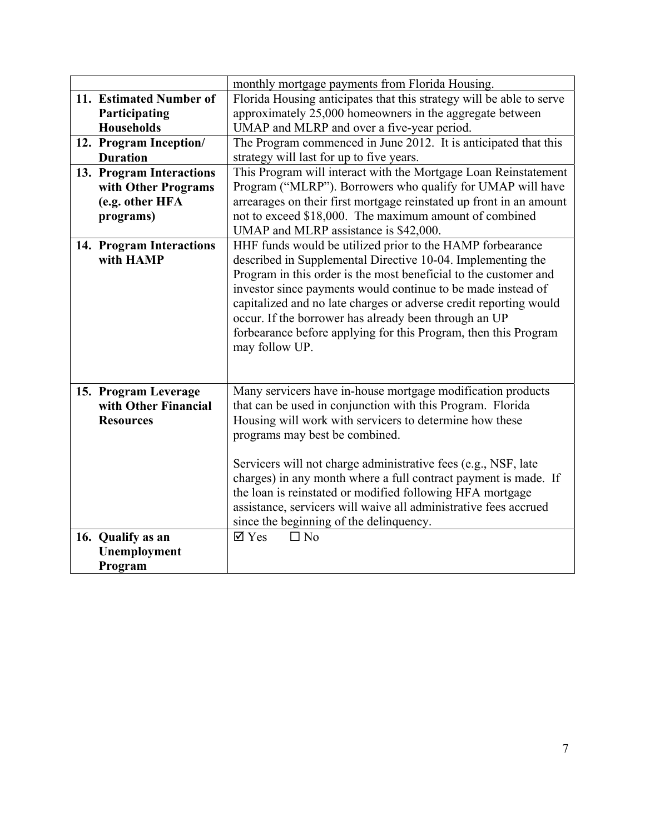|                                                                  | monthly mortgage payments from Florida Housing.                                                                                                                                                                                                                                                                                                                                                                                                                                                                                         |
|------------------------------------------------------------------|-----------------------------------------------------------------------------------------------------------------------------------------------------------------------------------------------------------------------------------------------------------------------------------------------------------------------------------------------------------------------------------------------------------------------------------------------------------------------------------------------------------------------------------------|
| 11. Estimated Number of                                          | Florida Housing anticipates that this strategy will be able to serve                                                                                                                                                                                                                                                                                                                                                                                                                                                                    |
| Participating                                                    | approximately 25,000 homeowners in the aggregate between                                                                                                                                                                                                                                                                                                                                                                                                                                                                                |
| <b>Households</b>                                                | UMAP and MLRP and over a five-year period.                                                                                                                                                                                                                                                                                                                                                                                                                                                                                              |
| 12. Program Inception/                                           | The Program commenced in June 2012. It is anticipated that this                                                                                                                                                                                                                                                                                                                                                                                                                                                                         |
| <b>Duration</b>                                                  | strategy will last for up to five years.                                                                                                                                                                                                                                                                                                                                                                                                                                                                                                |
| 13. Program Interactions                                         | This Program will interact with the Mortgage Loan Reinstatement                                                                                                                                                                                                                                                                                                                                                                                                                                                                         |
| with Other Programs                                              | Program ("MLRP"). Borrowers who qualify for UMAP will have                                                                                                                                                                                                                                                                                                                                                                                                                                                                              |
| (e.g. other HFA                                                  | arrearages on their first mortgage reinstated up front in an amount                                                                                                                                                                                                                                                                                                                                                                                                                                                                     |
| programs)                                                        | not to exceed \$18,000. The maximum amount of combined                                                                                                                                                                                                                                                                                                                                                                                                                                                                                  |
|                                                                  | UMAP and MLRP assistance is \$42,000.                                                                                                                                                                                                                                                                                                                                                                                                                                                                                                   |
| 14. Program Interactions<br>with HAMP                            | HHF funds would be utilized prior to the HAMP forbearance<br>described in Supplemental Directive 10-04. Implementing the<br>Program in this order is the most beneficial to the customer and<br>investor since payments would continue to be made instead of<br>capitalized and no late charges or adverse credit reporting would<br>occur. If the borrower has already been through an UP<br>forbearance before applying for this Program, then this Program<br>may follow UP.                                                         |
| 15. Program Leverage<br>with Other Financial<br><b>Resources</b> | Many servicers have in-house mortgage modification products<br>that can be used in conjunction with this Program. Florida<br>Housing will work with servicers to determine how these<br>programs may best be combined.<br>Servicers will not charge administrative fees (e.g., NSF, late<br>charges) in any month where a full contract payment is made. If<br>the loan is reinstated or modified following HFA mortgage<br>assistance, servicers will waive all administrative fees accrued<br>since the beginning of the delinquency. |
| 16. Qualify as an                                                | $\overline{\mathsf{Z}}$ Yes<br>$\Box$ No                                                                                                                                                                                                                                                                                                                                                                                                                                                                                                |
| Unemployment                                                     |                                                                                                                                                                                                                                                                                                                                                                                                                                                                                                                                         |
| Program                                                          |                                                                                                                                                                                                                                                                                                                                                                                                                                                                                                                                         |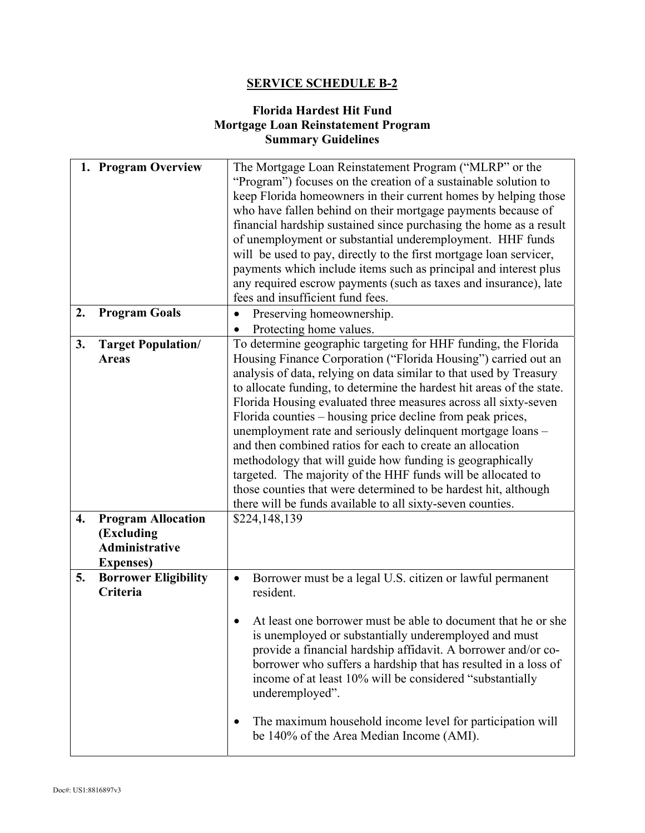## **SERVICE SCHEDULE B-2**

### **Florida Hardest Hit Fund Mortgage Loan Reinstatement Program Summary Guidelines**

| 1. Program Overview                             | The Mortgage Loan Reinstatement Program ("MLRP" or the<br>"Program") focuses on the creation of a sustainable solution to<br>keep Florida homeowners in their current homes by helping those<br>who have fallen behind on their mortgage payments because of<br>financial hardship sustained since purchasing the home as a result<br>of unemployment or substantial underemployment. HHF funds<br>will be used to pay, directly to the first mortgage loan servicer,<br>payments which include items such as principal and interest plus<br>any required escrow payments (such as taxes and insurance), late                                                                                                                                                                                              |
|-------------------------------------------------|------------------------------------------------------------------------------------------------------------------------------------------------------------------------------------------------------------------------------------------------------------------------------------------------------------------------------------------------------------------------------------------------------------------------------------------------------------------------------------------------------------------------------------------------------------------------------------------------------------------------------------------------------------------------------------------------------------------------------------------------------------------------------------------------------------|
|                                                 | fees and insufficient fund fees.                                                                                                                                                                                                                                                                                                                                                                                                                                                                                                                                                                                                                                                                                                                                                                           |
| 2.<br><b>Program Goals</b>                      | Preserving homeownership.<br>$\bullet$<br>Protecting home values.                                                                                                                                                                                                                                                                                                                                                                                                                                                                                                                                                                                                                                                                                                                                          |
| <b>Target Population/</b><br>3.<br><b>Areas</b> | To determine geographic targeting for HHF funding, the Florida<br>Housing Finance Corporation ("Florida Housing") carried out an<br>analysis of data, relying on data similar to that used by Treasury<br>to allocate funding, to determine the hardest hit areas of the state.<br>Florida Housing evaluated three measures across all sixty-seven<br>Florida counties - housing price decline from peak prices,<br>unemployment rate and seriously delinquent mortgage loans -<br>and then combined ratios for each to create an allocation<br>methodology that will guide how funding is geographically<br>targeted. The majority of the HHF funds will be allocated to<br>those counties that were determined to be hardest hit, although<br>there will be funds available to all sixty-seven counties. |
| <b>Program Allocation</b><br>4.<br>(Excluding   | \$224,148,139                                                                                                                                                                                                                                                                                                                                                                                                                                                                                                                                                                                                                                                                                                                                                                                              |
| <b>Administrative</b><br><b>Expenses</b> )      |                                                                                                                                                                                                                                                                                                                                                                                                                                                                                                                                                                                                                                                                                                                                                                                                            |
| 5.<br><b>Borrower Eligibility</b><br>Criteria   | Borrower must be a legal U.S. citizen or lawful permanent<br>$\bullet$<br>resident.<br>At least one borrower must be able to document that he or she<br>is unemployed or substantially underemployed and must<br>provide a financial hardship affidavit. A borrower and/or co-<br>borrower who suffers a hardship that has resulted in a loss of<br>income of at least 10% will be considered "substantially<br>underemployed".<br>The maximum household income level for participation will<br>be 140% of the Area Median Income (AMI).                                                                                                                                                                                                                                                                   |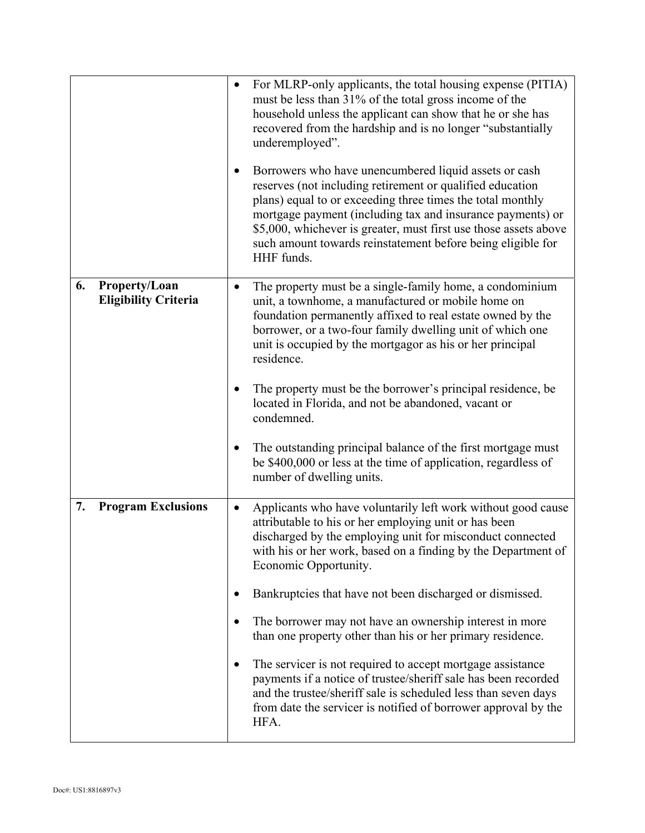|                                                    | For MLRP-only applicants, the total housing expense (PITIA)<br>$\bullet$<br>must be less than 31% of the total gross income of the<br>household unless the applicant can show that he or she has<br>recovered from the hardship and is no longer "substantially"<br>underemployed".<br>Borrowers who have unencumbered liquid assets or cash<br>$\bullet$<br>reserves (not including retirement or qualified education<br>plans) equal to or exceeding three times the total monthly<br>mortgage payment (including tax and insurance payments) or<br>\$5,000, whichever is greater, must first use those assets above<br>such amount towards reinstatement before being eligible for<br>HHF funds. |
|----------------------------------------------------|-----------------------------------------------------------------------------------------------------------------------------------------------------------------------------------------------------------------------------------------------------------------------------------------------------------------------------------------------------------------------------------------------------------------------------------------------------------------------------------------------------------------------------------------------------------------------------------------------------------------------------------------------------------------------------------------------------|
| Property/Loan<br>6.<br><b>Eligibility Criteria</b> | The property must be a single-family home, a condominium<br>$\bullet$<br>unit, a townhome, a manufactured or mobile home on<br>foundation permanently affixed to real estate owned by the<br>borrower, or a two-four family dwelling unit of which one<br>unit is occupied by the mortgagor as his or her principal<br>residence.                                                                                                                                                                                                                                                                                                                                                                   |
|                                                    | The property must be the borrower's principal residence, be<br>located in Florida, and not be abandoned, vacant or<br>condemned.                                                                                                                                                                                                                                                                                                                                                                                                                                                                                                                                                                    |
|                                                    | The outstanding principal balance of the first mortgage must<br>$\bullet$<br>be \$400,000 or less at the time of application, regardless of<br>number of dwelling units.                                                                                                                                                                                                                                                                                                                                                                                                                                                                                                                            |
| <b>Program Exclusions</b><br>7.                    | Applicants who have voluntarily left work without good cause<br>$\bullet$<br>attributable to his or her employing unit or has been<br>discharged by the employing unit for misconduct connected<br>with his or her work, based on a finding by the Department of<br>Economic Opportunity.                                                                                                                                                                                                                                                                                                                                                                                                           |
|                                                    | Bankruptcies that have not been discharged or dismissed.<br>$\bullet$                                                                                                                                                                                                                                                                                                                                                                                                                                                                                                                                                                                                                               |
|                                                    | The borrower may not have an ownership interest in more<br>$\bullet$<br>than one property other than his or her primary residence.                                                                                                                                                                                                                                                                                                                                                                                                                                                                                                                                                                  |
|                                                    | The servicer is not required to accept mortgage assistance<br>$\bullet$<br>payments if a notice of trustee/sheriff sale has been recorded<br>and the trustee/sheriff sale is scheduled less than seven days<br>from date the servicer is notified of borrower approval by the<br>HFA.                                                                                                                                                                                                                                                                                                                                                                                                               |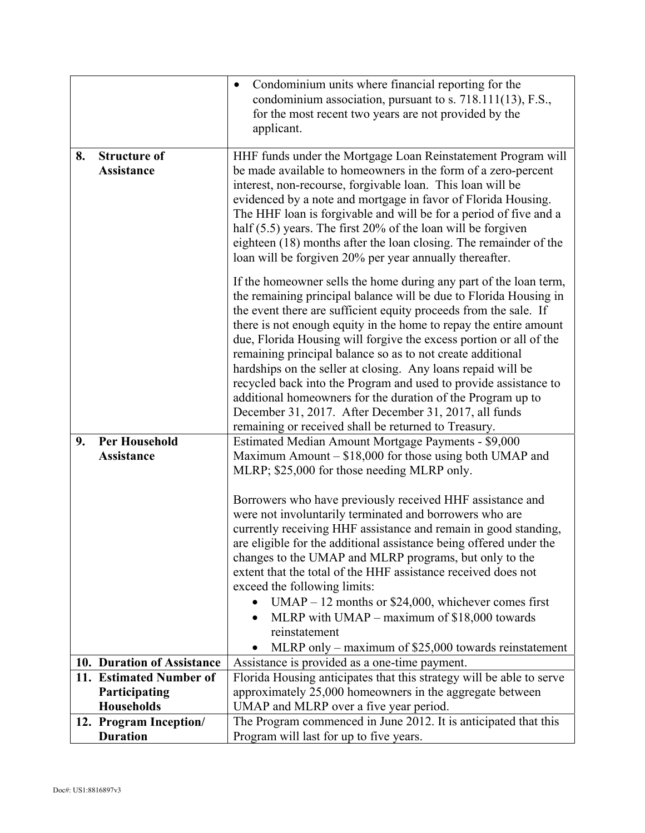|    |                                           | Condominium units where financial reporting for the<br>$\bullet$<br>condominium association, pursuant to s. 718.111(13), F.S.,        |
|----|-------------------------------------------|---------------------------------------------------------------------------------------------------------------------------------------|
|    |                                           | for the most recent two years are not provided by the                                                                                 |
|    |                                           | applicant.                                                                                                                            |
| 8. | <b>Structure of</b>                       | HHF funds under the Mortgage Loan Reinstatement Program will                                                                          |
|    | <b>Assistance</b>                         | be made available to homeowners in the form of a zero-percent                                                                         |
|    |                                           | interest, non-recourse, forgivable loan. This loan will be<br>evidenced by a note and mortgage in favor of Florida Housing.           |
|    |                                           | The HHF loan is forgivable and will be for a period of five and a                                                                     |
|    |                                           | half $(5.5)$ years. The first 20% of the loan will be forgiven                                                                        |
|    |                                           | eighteen (18) months after the loan closing. The remainder of the<br>loan will be forgiven 20% per year annually thereafter.          |
|    |                                           | If the homeowner sells the home during any part of the loan term,                                                                     |
|    |                                           | the remaining principal balance will be due to Florida Housing in                                                                     |
|    |                                           | the event there are sufficient equity proceeds from the sale. If<br>there is not enough equity in the home to repay the entire amount |
|    |                                           | due, Florida Housing will forgive the excess portion or all of the                                                                    |
|    |                                           | remaining principal balance so as to not create additional<br>hardships on the seller at closing. Any loans repaid will be            |
|    |                                           | recycled back into the Program and used to provide assistance to                                                                      |
|    |                                           | additional homeowners for the duration of the Program up to                                                                           |
|    |                                           | December 31, 2017. After December 31, 2017, all funds<br>remaining or received shall be returned to Treasury.                         |
| 9. | <b>Per Household</b>                      | Estimated Median Amount Mortgage Payments - \$9,000                                                                                   |
|    | Assistance                                | Maximum Amount – \$18,000 for those using both UMAP and                                                                               |
|    |                                           | MLRP; \$25,000 for those needing MLRP only.                                                                                           |
|    |                                           | Borrowers who have previously received HHF assistance and                                                                             |
|    |                                           | were not involuntarily terminated and borrowers who are                                                                               |
|    |                                           | currently receiving HHF assistance and remain in good standing,<br>are eligible for the additional assistance being offered under the |
|    |                                           | changes to the UMAP and MLRP programs, but only to the                                                                                |
|    |                                           | extent that the total of the HHF assistance received does not                                                                         |
|    |                                           | exceed the following limits:                                                                                                          |
|    |                                           | $UMAP - 12$ months or \$24,000, whichever comes first<br>$\bullet$<br>MLRP with $UMAP - maximum of $18,000 towards$                   |
|    |                                           | reinstatement                                                                                                                         |
|    |                                           | MLRP only – maximum of $$25,000$ towards reinstatement                                                                                |
|    | 10. Duration of Assistance                | Assistance is provided as a one-time payment.                                                                                         |
|    | 11. Estimated Number of                   | Florida Housing anticipates that this strategy will be able to serve                                                                  |
|    | Participating                             | approximately 25,000 homeowners in the aggregate between                                                                              |
|    | <b>Households</b>                         | UMAP and MLRP over a five year period.                                                                                                |
|    | 12. Program Inception/<br><b>Duration</b> | The Program commenced in June 2012. It is anticipated that this<br>Program will last for up to five years.                            |
|    |                                           |                                                                                                                                       |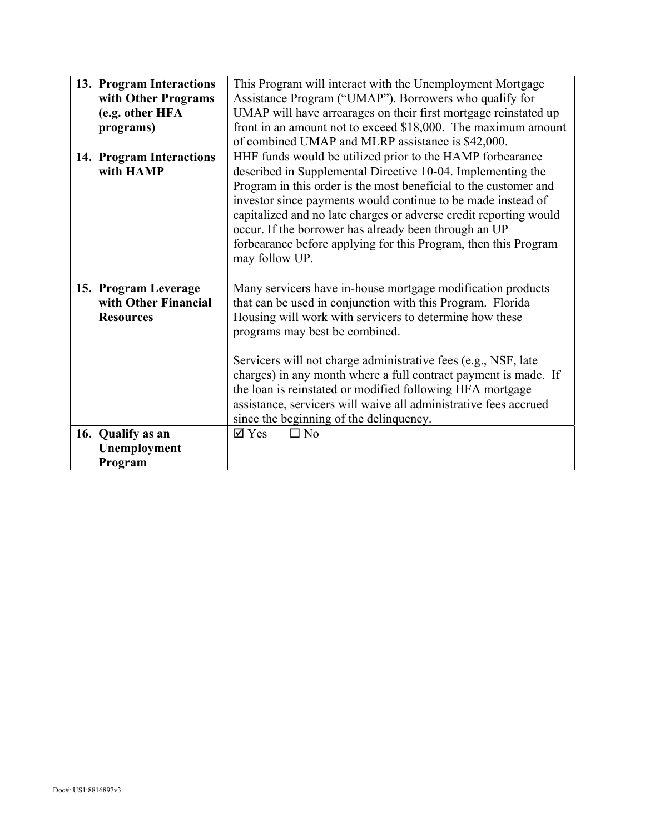| 13. Program Interactions | This Program will interact with the Unemployment Mortgage         |
|--------------------------|-------------------------------------------------------------------|
| with Other Programs      | Assistance Program ("UMAP"). Borrowers who qualify for            |
| (e.g. other HFA          | UMAP will have arrearages on their first mortgage reinstated up   |
| programs)                | front in an amount not to exceed \$18,000. The maximum amount     |
|                          | of combined UMAP and MLRP assistance is \$42,000.                 |
| 14. Program Interactions | HHF funds would be utilized prior to the HAMP forbearance         |
| with HAMP                | described in Supplemental Directive 10-04. Implementing the       |
|                          | Program in this order is the most beneficial to the customer and  |
|                          | investor since payments would continue to be made instead of      |
|                          | capitalized and no late charges or adverse credit reporting would |
|                          | occur. If the borrower has already been through an UP             |
|                          | forbearance before applying for this Program, then this Program   |
|                          | may follow UP.                                                    |
|                          |                                                                   |
| 15. Program Leverage     | Many servicers have in-house mortgage modification products       |
| with Other Financial     | that can be used in conjunction with this Program. Florida        |
| <b>Resources</b>         | Housing will work with servicers to determine how these           |
|                          | programs may best be combined.                                    |
|                          |                                                                   |
|                          | Servicers will not charge administrative fees (e.g., NSF, late    |
|                          | charges) in any month where a full contract payment is made. If   |
|                          | the loan is reinstated or modified following HFA mortgage         |
|                          | assistance, servicers will waive all administrative fees accrued  |
|                          | since the beginning of the delinquency.                           |
| 16. Qualify as an        | $\square$ No<br>$\boxtimes$ Yes                                   |
| Unemployment             |                                                                   |
| Program                  |                                                                   |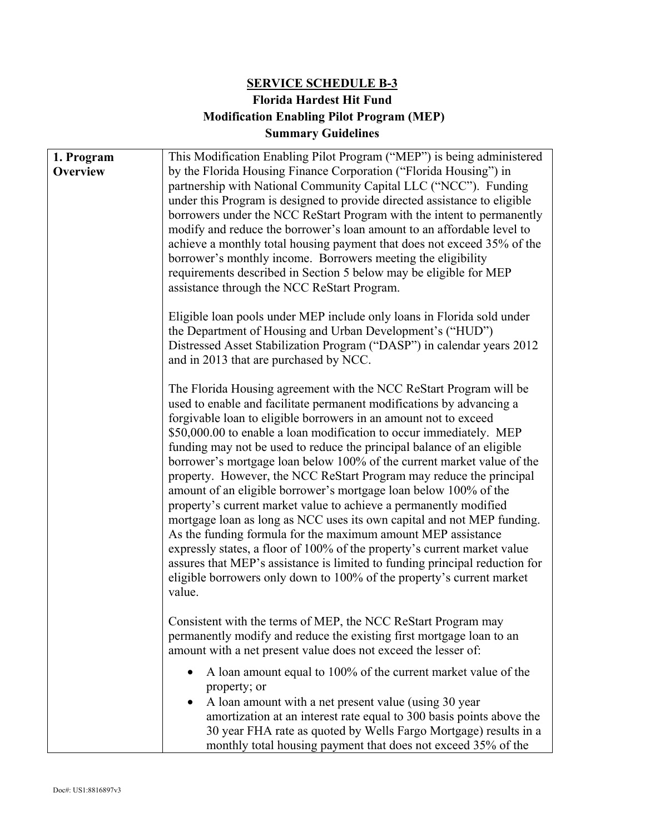# **SERVICE SCHEDULE B-3 Florida Hardest Hit Fund Modification Enabling Pilot Program (MEP) Summary Guidelines**

| 1. Program | This Modification Enabling Pilot Program ("MEP") is being administered                                                                  |
|------------|-----------------------------------------------------------------------------------------------------------------------------------------|
| Overview   | by the Florida Housing Finance Corporation ("Florida Housing") in                                                                       |
|            | partnership with National Community Capital LLC ("NCC"). Funding                                                                        |
|            | under this Program is designed to provide directed assistance to eligible                                                               |
|            | borrowers under the NCC ReStart Program with the intent to permanently                                                                  |
|            | modify and reduce the borrower's loan amount to an affordable level to                                                                  |
|            | achieve a monthly total housing payment that does not exceed 35% of the                                                                 |
|            | borrower's monthly income. Borrowers meeting the eligibility                                                                            |
|            | requirements described in Section 5 below may be eligible for MEP                                                                       |
|            | assistance through the NCC ReStart Program.                                                                                             |
|            | Eligible loan pools under MEP include only loans in Florida sold under                                                                  |
|            | the Department of Housing and Urban Development's ("HUD")                                                                               |
|            | Distressed Asset Stabilization Program ("DASP") in calendar years 2012                                                                  |
|            | and in 2013 that are purchased by NCC.                                                                                                  |
|            | The Florida Housing agreement with the NCC ReStart Program will be                                                                      |
|            | used to enable and facilitate permanent modifications by advancing a                                                                    |
|            | forgivable loan to eligible borrowers in an amount not to exceed                                                                        |
|            | \$50,000.00 to enable a loan modification to occur immediately. MEP                                                                     |
|            | funding may not be used to reduce the principal balance of an eligible                                                                  |
|            | borrower's mortgage loan below 100% of the current market value of the                                                                  |
|            | property. However, the NCC ReStart Program may reduce the principal<br>amount of an eligible borrower's mortgage loan below 100% of the |
|            | property's current market value to achieve a permanently modified                                                                       |
|            | mortgage loan as long as NCC uses its own capital and not MEP funding.                                                                  |
|            | As the funding formula for the maximum amount MEP assistance                                                                            |
|            | expressly states, a floor of 100% of the property's current market value                                                                |
|            | assures that MEP's assistance is limited to funding principal reduction for                                                             |
|            | eligible borrowers only down to 100% of the property's current market                                                                   |
|            | value.                                                                                                                                  |
|            | Consistent with the terms of MEP, the NCC ReStart Program may                                                                           |
|            | permanently modify and reduce the existing first mortgage loan to an                                                                    |
|            | amount with a net present value does not exceed the lesser of:                                                                          |
|            | A loan amount equal to 100% of the current market value of the                                                                          |
|            | property; or                                                                                                                            |
|            | A loan amount with a net present value (using 30 year                                                                                   |
|            | amortization at an interest rate equal to 300 basis points above the                                                                    |
|            | 30 year FHA rate as quoted by Wells Fargo Mortgage) results in a<br>monthly total housing payment that does not exceed 35% of the       |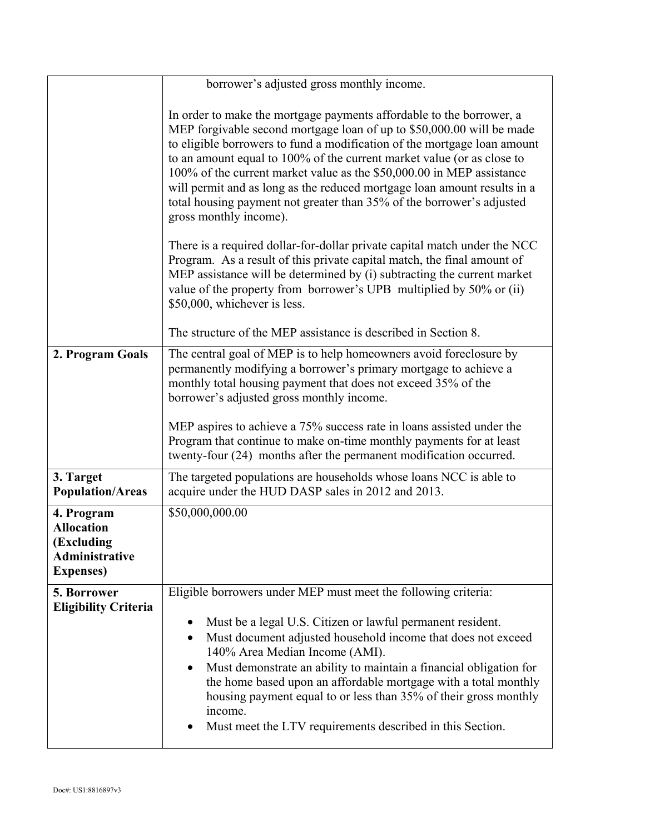|                                                                                             | borrower's adjusted gross monthly income.                                                                                                                                                                                                                                                                                                                                                                                                                                                                                                                       |
|---------------------------------------------------------------------------------------------|-----------------------------------------------------------------------------------------------------------------------------------------------------------------------------------------------------------------------------------------------------------------------------------------------------------------------------------------------------------------------------------------------------------------------------------------------------------------------------------------------------------------------------------------------------------------|
|                                                                                             | In order to make the mortgage payments affordable to the borrower, a<br>MEP forgivable second mortgage loan of up to \$50,000.00 will be made<br>to eligible borrowers to fund a modification of the mortgage loan amount<br>to an amount equal to 100% of the current market value (or as close to<br>100% of the current market value as the \$50,000.00 in MEP assistance<br>will permit and as long as the reduced mortgage loan amount results in a<br>total housing payment not greater than 35% of the borrower's adjusted<br>gross monthly income).     |
|                                                                                             | There is a required dollar-for-dollar private capital match under the NCC<br>Program. As a result of this private capital match, the final amount of<br>MEP assistance will be determined by (i) subtracting the current market<br>value of the property from borrower's UPB multiplied by 50% or (ii)<br>\$50,000, whichever is less.                                                                                                                                                                                                                          |
|                                                                                             | The structure of the MEP assistance is described in Section 8.                                                                                                                                                                                                                                                                                                                                                                                                                                                                                                  |
| 2. Program Goals                                                                            | The central goal of MEP is to help homeowners avoid foreclosure by<br>permanently modifying a borrower's primary mortgage to achieve a<br>monthly total housing payment that does not exceed 35% of the<br>borrower's adjusted gross monthly income.<br>MEP aspires to achieve a 75% success rate in loans assisted under the<br>Program that continue to make on-time monthly payments for at least<br>twenty-four (24) months after the permanent modification occurred.                                                                                      |
| 3. Target<br><b>Population/Areas</b>                                                        | The targeted populations are households whose loans NCC is able to<br>acquire under the HUD DASP sales in 2012 and 2013.                                                                                                                                                                                                                                                                                                                                                                                                                                        |
| 4. Program<br><b>Allocation</b><br>(Excluding<br><b>Administrative</b><br><b>Expenses</b> ) | \$50,000,000.00                                                                                                                                                                                                                                                                                                                                                                                                                                                                                                                                                 |
| 5. Borrower<br><b>Eligibility Criteria</b>                                                  | Eligible borrowers under MEP must meet the following criteria:<br>Must be a legal U.S. Citizen or lawful permanent resident.<br>$\bullet$<br>Must document adjusted household income that does not exceed<br>$\bullet$<br>140% Area Median Income (AMI).<br>Must demonstrate an ability to maintain a financial obligation for<br>٠<br>the home based upon an affordable mortgage with a total monthly<br>housing payment equal to or less than 35% of their gross monthly<br>income.<br>Must meet the LTV requirements described in this Section.<br>$\bullet$ |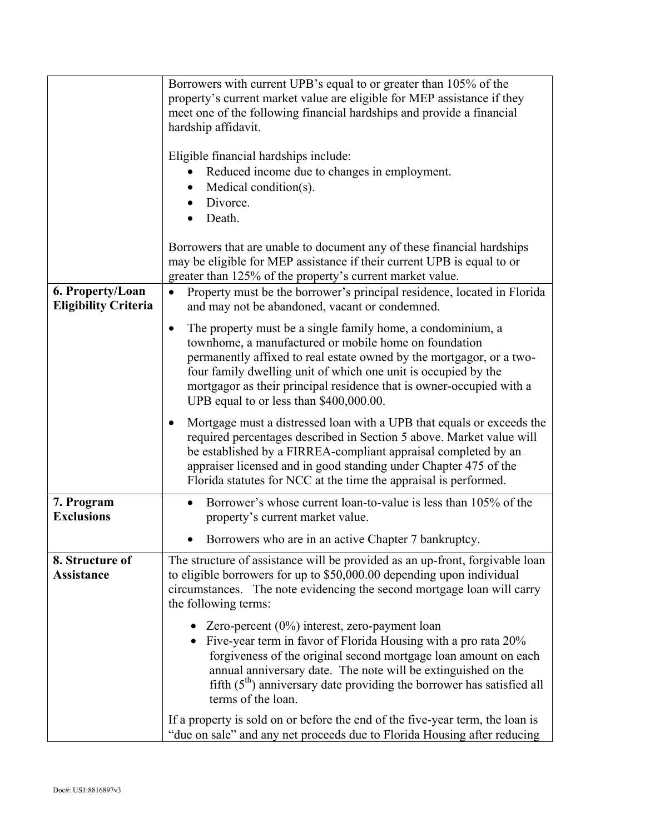|                                                 | Borrowers with current UPB's equal to or greater than 105% of the<br>property's current market value are eligible for MEP assistance if they<br>meet one of the following financial hardships and provide a financial<br>hardship affidavit.                                                                                                                                           |  |
|-------------------------------------------------|----------------------------------------------------------------------------------------------------------------------------------------------------------------------------------------------------------------------------------------------------------------------------------------------------------------------------------------------------------------------------------------|--|
|                                                 | Eligible financial hardships include:<br>Reduced income due to changes in employment.<br>Medical condition(s).<br>$\bullet$<br>Divorce.<br>Death.<br>Borrowers that are unable to document any of these financial hardships<br>may be eligible for MEP assistance if their current UPB is equal to or                                                                                  |  |
| 6. Property/Loan<br><b>Eligibility Criteria</b> | greater than 125% of the property's current market value.<br>Property must be the borrower's principal residence, located in Florida<br>$\bullet$<br>and may not be abandoned, vacant or condemned.                                                                                                                                                                                    |  |
|                                                 | The property must be a single family home, a condominium, a<br>٠<br>townhome, a manufactured or mobile home on foundation<br>permanently affixed to real estate owned by the mortgagor, or a two-<br>four family dwelling unit of which one unit is occupied by the<br>mortgagor as their principal residence that is owner-occupied with a<br>UPB equal to or less than \$400,000.00. |  |
|                                                 | Mortgage must a distressed loan with a UPB that equals or exceeds the<br>required percentages described in Section 5 above. Market value will<br>be established by a FIRREA-compliant appraisal completed by an<br>appraiser licensed and in good standing under Chapter 475 of the<br>Florida statutes for NCC at the time the appraisal is performed.                                |  |
| 7. Program<br><b>Exclusions</b>                 | Borrower's whose current loan-to-value is less than 105% of the<br>$\bullet$<br>property's current market value.                                                                                                                                                                                                                                                                       |  |
|                                                 | Borrowers who are in an active Chapter 7 bankruptcy.<br>$\bullet$                                                                                                                                                                                                                                                                                                                      |  |
| 8. Structure of<br><b>Assistance</b>            | The structure of assistance will be provided as an up-front, forgivable loan<br>to eligible borrowers for up to \$50,000.00 depending upon individual<br>circumstances. The note evidencing the second mortgage loan will carry<br>the following terms:                                                                                                                                |  |
|                                                 | Zero-percent $(0\%)$ interest, zero-payment loan<br>• Five-year term in favor of Florida Housing with a pro rata 20%<br>forgiveness of the original second mortgage loan amount on each<br>annual anniversary date. The note will be extinguished on the<br>fifth $(5th)$ anniversary date providing the borrower has satisfied all<br>terms of the loan.                              |  |
|                                                 | If a property is sold on or before the end of the five-year term, the loan is<br>"due on sale" and any net proceeds due to Florida Housing after reducing                                                                                                                                                                                                                              |  |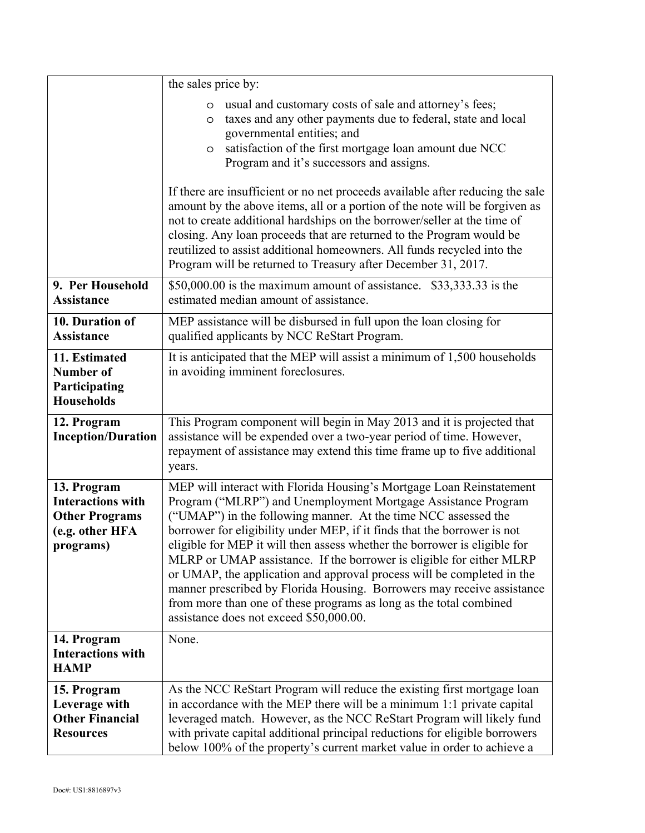|                                                                                                  | the sales price by:                                                                                                                                                                                                                                                                                                                                                                                                                                                                                                                                                                                                                                                                                           |  |
|--------------------------------------------------------------------------------------------------|---------------------------------------------------------------------------------------------------------------------------------------------------------------------------------------------------------------------------------------------------------------------------------------------------------------------------------------------------------------------------------------------------------------------------------------------------------------------------------------------------------------------------------------------------------------------------------------------------------------------------------------------------------------------------------------------------------------|--|
|                                                                                                  | usual and customary costs of sale and attorney's fees;<br>$\circ$<br>taxes and any other payments due to federal, state and local<br>$\circ$<br>governmental entities; and<br>satisfaction of the first mortgage loan amount due NCC<br>$\circ$<br>Program and it's successors and assigns.                                                                                                                                                                                                                                                                                                                                                                                                                   |  |
|                                                                                                  | If there are insufficient or no net proceeds available after reducing the sale<br>amount by the above items, all or a portion of the note will be forgiven as<br>not to create additional hardships on the borrower/seller at the time of<br>closing. Any loan proceeds that are returned to the Program would be<br>reutilized to assist additional homeowners. All funds recycled into the<br>Program will be returned to Treasury after December 31, 2017.                                                                                                                                                                                                                                                 |  |
| 9. Per Household<br><b>Assistance</b>                                                            | $$50,000.00$ is the maximum amount of assistance. $$33,333.33$ is the<br>estimated median amount of assistance.                                                                                                                                                                                                                                                                                                                                                                                                                                                                                                                                                                                               |  |
| 10. Duration of<br><b>Assistance</b>                                                             | MEP assistance will be disbursed in full upon the loan closing for<br>qualified applicants by NCC ReStart Program.                                                                                                                                                                                                                                                                                                                                                                                                                                                                                                                                                                                            |  |
| 11. Estimated<br>Number of<br>Participating<br><b>Households</b>                                 | It is anticipated that the MEP will assist a minimum of 1,500 households<br>in avoiding imminent foreclosures.                                                                                                                                                                                                                                                                                                                                                                                                                                                                                                                                                                                                |  |
| 12. Program<br><b>Inception/Duration</b>                                                         | This Program component will begin in May 2013 and it is projected that<br>assistance will be expended over a two-year period of time. However,<br>repayment of assistance may extend this time frame up to five additional<br>years.                                                                                                                                                                                                                                                                                                                                                                                                                                                                          |  |
| 13. Program<br><b>Interactions with</b><br><b>Other Programs</b><br>(e.g. other HFA<br>programs) | MEP will interact with Florida Housing's Mortgage Loan Reinstatement<br>Program ("MLRP") and Unemployment Mortgage Assistance Program<br>("UMAP") in the following manner. At the time NCC assessed the<br>borrower for eligibility under MEP, if it finds that the borrower is not<br>eligible for MEP it will then assess whether the borrower is eligible for<br>MLRP or UMAP assistance. If the borrower is eligible for either MLRP<br>or UMAP, the application and approval process will be completed in the<br>manner prescribed by Florida Housing. Borrowers may receive assistance<br>from more than one of these programs as long as the total combined<br>assistance does not exceed \$50,000.00. |  |
| 14. Program<br><b>Interactions with</b><br><b>HAMP</b>                                           | None.                                                                                                                                                                                                                                                                                                                                                                                                                                                                                                                                                                                                                                                                                                         |  |
| 15. Program<br>Leverage with<br><b>Other Financial</b><br><b>Resources</b>                       | As the NCC ReStart Program will reduce the existing first mortgage loan<br>in accordance with the MEP there will be a minimum 1:1 private capital<br>leveraged match. However, as the NCC ReStart Program will likely fund<br>with private capital additional principal reductions for eligible borrowers<br>below 100% of the property's current market value in order to achieve a                                                                                                                                                                                                                                                                                                                          |  |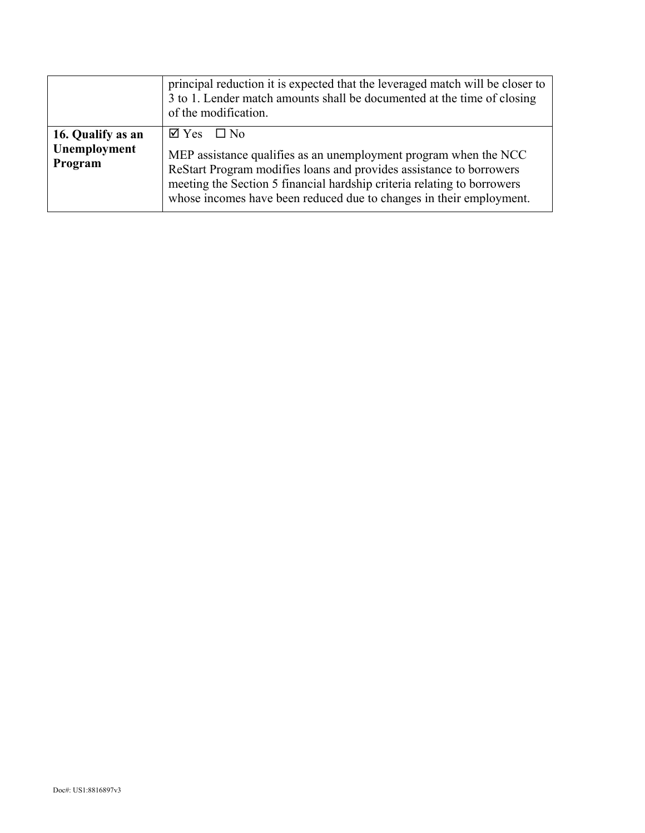|                                              | principal reduction it is expected that the leveraged match will be closer to<br>3 to 1. Lender match amounts shall be documented at the time of closing<br>of the modification.                                                                                                                                       |  |
|----------------------------------------------|------------------------------------------------------------------------------------------------------------------------------------------------------------------------------------------------------------------------------------------------------------------------------------------------------------------------|--|
| 16. Qualify as an<br>Unemployment<br>Program | $\boxtimes$ Yes $\Box$ No<br>MEP assistance qualifies as an unemployment program when the NCC<br>ReStart Program modifies loans and provides assistance to borrowers<br>meeting the Section 5 financial hardship criteria relating to borrowers<br>whose incomes have been reduced due to changes in their employment. |  |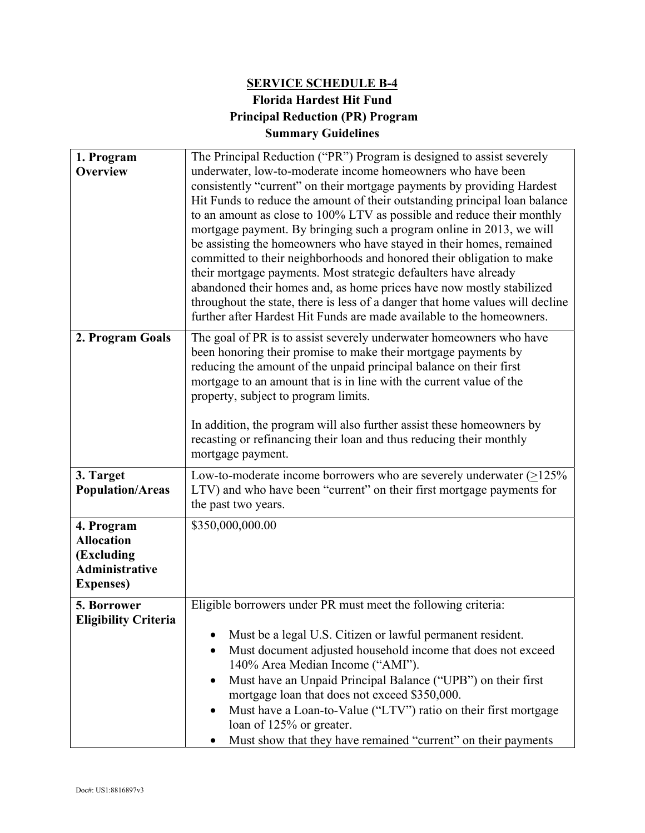# **SERVICE SCHEDULE B-4 Florida Hardest Hit Fund Principal Reduction (PR) Program Summary Guidelines**

| 1. Program<br><b>Overview</b>                                                               | The Principal Reduction ("PR") Program is designed to assist severely<br>underwater, low-to-moderate income homeowners who have been<br>consistently "current" on their mortgage payments by providing Hardest<br>Hit Funds to reduce the amount of their outstanding principal loan balance<br>to an amount as close to 100% LTV as possible and reduce their monthly<br>mortgage payment. By bringing such a program online in 2013, we will<br>be assisting the homeowners who have stayed in their homes, remained<br>committed to their neighborhoods and honored their obligation to make<br>their mortgage payments. Most strategic defaulters have already<br>abandoned their homes and, as home prices have now mostly stabilized<br>throughout the state, there is less of a danger that home values will decline<br>further after Hardest Hit Funds are made available to the homeowners. |  |
|---------------------------------------------------------------------------------------------|------------------------------------------------------------------------------------------------------------------------------------------------------------------------------------------------------------------------------------------------------------------------------------------------------------------------------------------------------------------------------------------------------------------------------------------------------------------------------------------------------------------------------------------------------------------------------------------------------------------------------------------------------------------------------------------------------------------------------------------------------------------------------------------------------------------------------------------------------------------------------------------------------|--|
| 2. Program Goals                                                                            | The goal of PR is to assist severely underwater homeowners who have<br>been honoring their promise to make their mortgage payments by<br>reducing the amount of the unpaid principal balance on their first<br>mortgage to an amount that is in line with the current value of the<br>property, subject to program limits.<br>In addition, the program will also further assist these homeowners by<br>recasting or refinancing their loan and thus reducing their monthly<br>mortgage payment.                                                                                                                                                                                                                                                                                                                                                                                                      |  |
| 3. Target<br><b>Population/Areas</b>                                                        | Low-to-moderate income borrowers who are severely underwater $(≥125%$<br>LTV) and who have been "current" on their first mortgage payments for<br>the past two years.                                                                                                                                                                                                                                                                                                                                                                                                                                                                                                                                                                                                                                                                                                                                |  |
| 4. Program<br><b>Allocation</b><br>(Excluding<br><b>Administrative</b><br><b>Expenses</b> ) | \$350,000,000.00                                                                                                                                                                                                                                                                                                                                                                                                                                                                                                                                                                                                                                                                                                                                                                                                                                                                                     |  |
| 5. Borrower<br><b>Eligibility Criteria</b>                                                  | Eligible borrowers under PR must meet the following criteria:<br>Must be a legal U.S. Citizen or lawful permanent resident.<br>Must document adjusted household income that does not exceed<br>$\bullet$<br>140% Area Median Income ("AMI").<br>Must have an Unpaid Principal Balance ("UPB") on their first<br>mortgage loan that does not exceed \$350,000.<br>Must have a Loan-to-Value ("LTV") ratio on their first mortgage<br>$\bullet$<br>loan of 125% or greater.<br>Must show that they have remained "current" on their payments                                                                                                                                                                                                                                                                                                                                                           |  |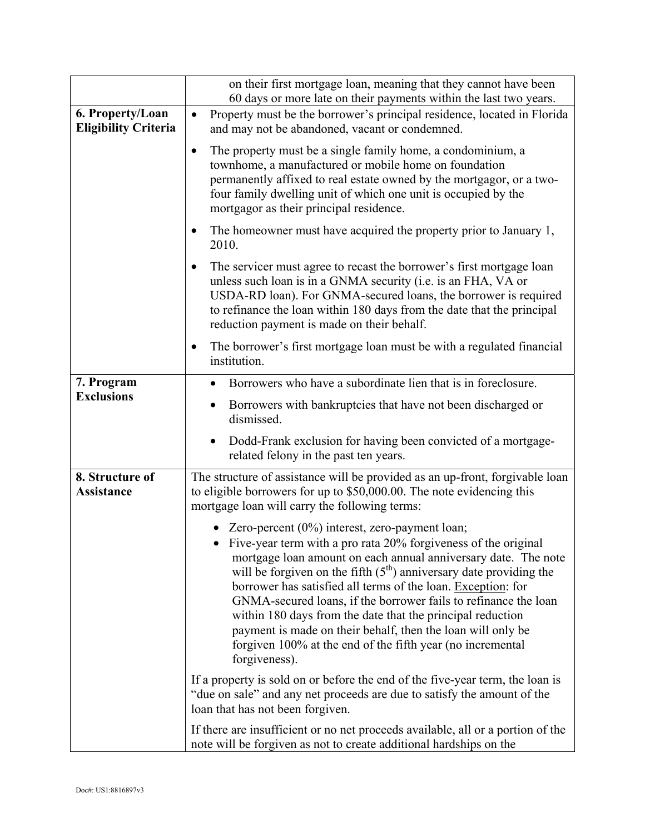|                                                 | on their first mortgage loan, meaning that they cannot have been                                                                                                                                                                                                                                                                                                                                                                                                                                                                                                                                               |  |
|-------------------------------------------------|----------------------------------------------------------------------------------------------------------------------------------------------------------------------------------------------------------------------------------------------------------------------------------------------------------------------------------------------------------------------------------------------------------------------------------------------------------------------------------------------------------------------------------------------------------------------------------------------------------------|--|
|                                                 | 60 days or more late on their payments within the last two years.                                                                                                                                                                                                                                                                                                                                                                                                                                                                                                                                              |  |
| 6. Property/Loan<br><b>Eligibility Criteria</b> | Property must be the borrower's principal residence, located in Florida<br>$\bullet$<br>and may not be abandoned, vacant or condemned.                                                                                                                                                                                                                                                                                                                                                                                                                                                                         |  |
|                                                 | The property must be a single family home, a condominium, a<br>$\bullet$<br>townhome, a manufactured or mobile home on foundation<br>permanently affixed to real estate owned by the mortgagor, or a two-<br>four family dwelling unit of which one unit is occupied by the<br>mortgagor as their principal residence.                                                                                                                                                                                                                                                                                         |  |
|                                                 | The homeowner must have acquired the property prior to January 1,<br>$\bullet$<br>2010.                                                                                                                                                                                                                                                                                                                                                                                                                                                                                                                        |  |
|                                                 | The servicer must agree to recast the borrower's first mortgage loan<br>$\bullet$<br>unless such loan is in a GNMA security (i.e. is an FHA, VA or<br>USDA-RD loan). For GNMA-secured loans, the borrower is required<br>to refinance the loan within 180 days from the date that the principal<br>reduction payment is made on their behalf.                                                                                                                                                                                                                                                                  |  |
|                                                 | The borrower's first mortgage loan must be with a regulated financial<br>$\bullet$<br>institution.                                                                                                                                                                                                                                                                                                                                                                                                                                                                                                             |  |
| 7. Program                                      | Borrowers who have a subordinate lien that is in foreclosure.                                                                                                                                                                                                                                                                                                                                                                                                                                                                                                                                                  |  |
| <b>Exclusions</b>                               | Borrowers with bankruptcies that have not been discharged or<br>dismissed.                                                                                                                                                                                                                                                                                                                                                                                                                                                                                                                                     |  |
|                                                 | Dodd-Frank exclusion for having been convicted of a mortgage-<br>related felony in the past ten years.                                                                                                                                                                                                                                                                                                                                                                                                                                                                                                         |  |
| 8. Structure of<br>Assistance                   | The structure of assistance will be provided as an up-front, forgivable loan<br>to eligible borrowers for up to \$50,000.00. The note evidencing this<br>mortgage loan will carry the following terms:                                                                                                                                                                                                                                                                                                                                                                                                         |  |
|                                                 | Zero-percent $(0\%)$ interest, zero-payment loan;<br>• Five-year term with a pro rata 20% forgiveness of the original<br>mortgage loan amount on each annual anniversary date. The note<br>will be forgiven on the fifth $(5th)$ anniversary date providing the<br>borrower has satisfied all terms of the loan. Exception: for<br>GNMA-secured loans, if the borrower fails to refinance the loan<br>within 180 days from the date that the principal reduction<br>payment is made on their behalf, then the loan will only be<br>forgiven 100% at the end of the fifth year (no incremental<br>forgiveness). |  |
|                                                 | If a property is sold on or before the end of the five-year term, the loan is<br>"due on sale" and any net proceeds are due to satisfy the amount of the<br>loan that has not been forgiven.                                                                                                                                                                                                                                                                                                                                                                                                                   |  |
|                                                 | If there are insufficient or no net proceeds available, all or a portion of the<br>note will be forgiven as not to create additional hardships on the                                                                                                                                                                                                                                                                                                                                                                                                                                                          |  |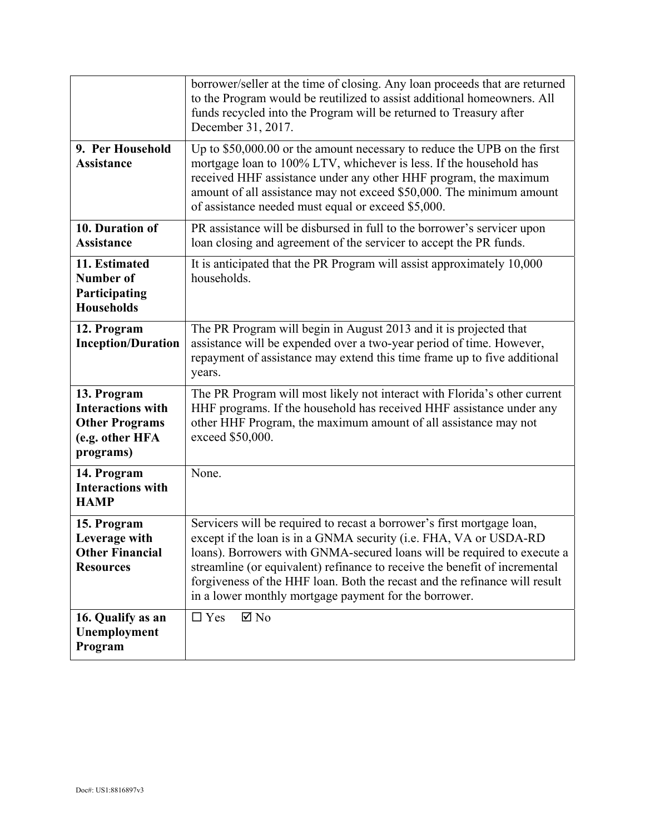|                                                                                                  | borrower/seller at the time of closing. Any loan proceeds that are returned<br>to the Program would be reutilized to assist additional homeowners. All<br>funds recycled into the Program will be returned to Treasury after<br>December 31, 2017.                                                                                                                                                                                          |  |  |
|--------------------------------------------------------------------------------------------------|---------------------------------------------------------------------------------------------------------------------------------------------------------------------------------------------------------------------------------------------------------------------------------------------------------------------------------------------------------------------------------------------------------------------------------------------|--|--|
| 9. Per Household<br><b>Assistance</b>                                                            | Up to \$50,000.00 or the amount necessary to reduce the UPB on the first<br>mortgage loan to 100% LTV, whichever is less. If the household has<br>received HHF assistance under any other HHF program, the maximum<br>amount of all assistance may not exceed \$50,000. The minimum amount<br>of assistance needed must equal or exceed \$5,000.                                                                                            |  |  |
| 10. Duration of<br><b>Assistance</b>                                                             | PR assistance will be disbursed in full to the borrower's servicer upon<br>loan closing and agreement of the servicer to accept the PR funds.                                                                                                                                                                                                                                                                                               |  |  |
| 11. Estimated<br><b>Number of</b><br>Participating<br><b>Households</b>                          | It is anticipated that the PR Program will assist approximately 10,000<br>households.                                                                                                                                                                                                                                                                                                                                                       |  |  |
| 12. Program<br><b>Inception/Duration</b>                                                         | The PR Program will begin in August 2013 and it is projected that<br>assistance will be expended over a two-year period of time. However,<br>repayment of assistance may extend this time frame up to five additional<br>years.                                                                                                                                                                                                             |  |  |
| 13. Program<br><b>Interactions with</b><br><b>Other Programs</b><br>(e.g. other HFA<br>programs) | The PR Program will most likely not interact with Florida's other current<br>HHF programs. If the household has received HHF assistance under any<br>other HHF Program, the maximum amount of all assistance may not<br>exceed \$50,000.                                                                                                                                                                                                    |  |  |
| 14. Program<br><b>Interactions with</b><br><b>HAMP</b>                                           | None.                                                                                                                                                                                                                                                                                                                                                                                                                                       |  |  |
| 15. Program<br>Leverage with<br><b>Other Financial</b><br><b>Resources</b>                       | Servicers will be required to recast a borrower's first mortgage loan,<br>except if the loan is in a GNMA security (i.e. FHA, VA or USDA-RD<br>loans). Borrowers with GNMA-secured loans will be required to execute a<br>streamline (or equivalent) refinance to receive the benefit of incremental<br>forgiveness of the HHF loan. Both the recast and the refinance will result<br>in a lower monthly mortgage payment for the borrower. |  |  |
| 16. Qualify as an<br>Unemployment<br>Program                                                     | $\boxtimes$ No<br>$\Box$ Yes                                                                                                                                                                                                                                                                                                                                                                                                                |  |  |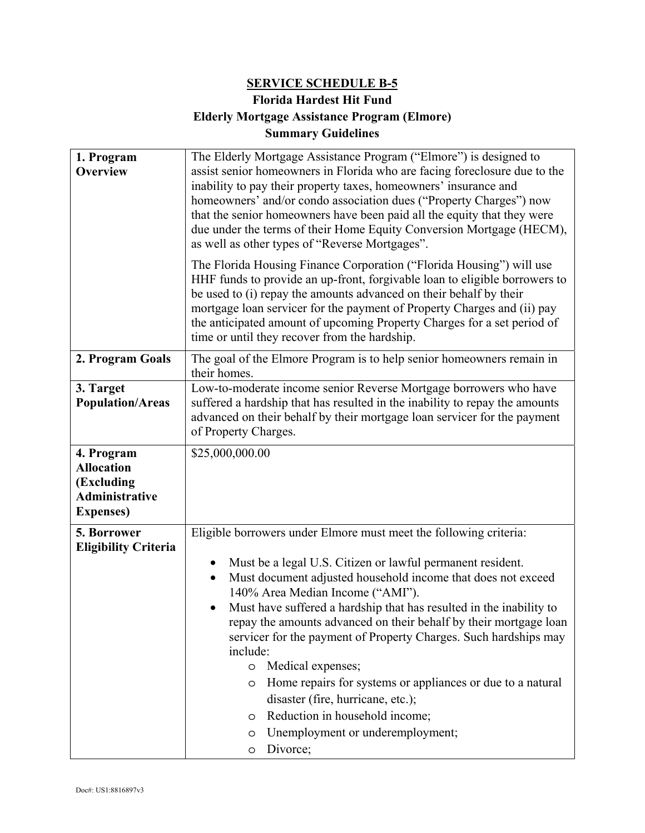# **SERVICE SCHEDULE B-5 Florida Hardest Hit Fund Elderly Mortgage Assistance Program (Elmore) Summary Guidelines**

| 1. Program<br><b>Overview</b>                                                               | The Elderly Mortgage Assistance Program ("Elmore") is designed to<br>assist senior homeowners in Florida who are facing foreclosure due to the<br>inability to pay their property taxes, homeowners' insurance and<br>homeowners' and/or condo association dues ("Property Charges") now<br>that the senior homeowners have been paid all the equity that they were<br>due under the terms of their Home Equity Conversion Mortgage (HECM),<br>as well as other types of "Reverse Mortgages".                                                                                                                                                                                                                                                 |  |  |  |
|---------------------------------------------------------------------------------------------|-----------------------------------------------------------------------------------------------------------------------------------------------------------------------------------------------------------------------------------------------------------------------------------------------------------------------------------------------------------------------------------------------------------------------------------------------------------------------------------------------------------------------------------------------------------------------------------------------------------------------------------------------------------------------------------------------------------------------------------------------|--|--|--|
|                                                                                             | The Florida Housing Finance Corporation ("Florida Housing") will use<br>HHF funds to provide an up-front, forgivable loan to eligible borrowers to<br>be used to (i) repay the amounts advanced on their behalf by their<br>mortgage loan servicer for the payment of Property Charges and (ii) pay<br>the anticipated amount of upcoming Property Charges for a set period of<br>time or until they recover from the hardship.                                                                                                                                                                                                                                                                                                               |  |  |  |
| 2. Program Goals                                                                            | The goal of the Elmore Program is to help senior homeowners remain in<br>their homes.                                                                                                                                                                                                                                                                                                                                                                                                                                                                                                                                                                                                                                                         |  |  |  |
| 3. Target<br><b>Population/Areas</b>                                                        | Low-to-moderate income senior Reverse Mortgage borrowers who have<br>suffered a hardship that has resulted in the inability to repay the amounts<br>advanced on their behalf by their mortgage loan servicer for the payment<br>of Property Charges.                                                                                                                                                                                                                                                                                                                                                                                                                                                                                          |  |  |  |
| 4. Program<br><b>Allocation</b><br>(Excluding<br><b>Administrative</b><br><b>Expenses</b> ) | \$25,000,000.00                                                                                                                                                                                                                                                                                                                                                                                                                                                                                                                                                                                                                                                                                                                               |  |  |  |
| 5. Borrower<br><b>Eligibility Criteria</b>                                                  | Eligible borrowers under Elmore must meet the following criteria:<br>Must be a legal U.S. Citizen or lawful permanent resident.<br>$\bullet$<br>Must document adjusted household income that does not exceed<br>140% Area Median Income ("AMI").<br>Must have suffered a hardship that has resulted in the inability to<br>repay the amounts advanced on their behalf by their mortgage loan<br>servicer for the payment of Property Charges. Such hardships may<br>include:<br>Medical expenses;<br>$\circ$<br>Home repairs for systems or appliances or due to a natural<br>$\circ$<br>disaster (fire, hurricane, etc.);<br>Reduction in household income;<br>$\circ$<br>Unemployment or underemployment;<br>$\circ$<br>Divorce;<br>$\circ$ |  |  |  |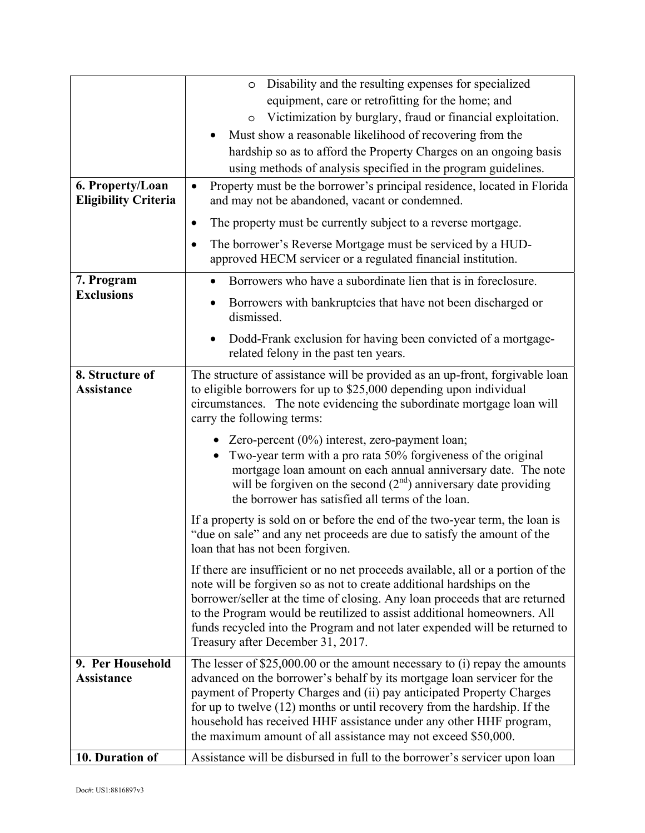|                                                 | Disability and the resulting expenses for specialized<br>$\circ$                                                                                                                                                                                                                                                                                                                                                                      |  |  |  |
|-------------------------------------------------|---------------------------------------------------------------------------------------------------------------------------------------------------------------------------------------------------------------------------------------------------------------------------------------------------------------------------------------------------------------------------------------------------------------------------------------|--|--|--|
|                                                 | equipment, care or retrofitting for the home; and                                                                                                                                                                                                                                                                                                                                                                                     |  |  |  |
|                                                 | Victimization by burglary, fraud or financial exploitation.<br>$\circ$                                                                                                                                                                                                                                                                                                                                                                |  |  |  |
|                                                 | Must show a reasonable likelihood of recovering from the                                                                                                                                                                                                                                                                                                                                                                              |  |  |  |
|                                                 | hardship so as to afford the Property Charges on an ongoing basis                                                                                                                                                                                                                                                                                                                                                                     |  |  |  |
|                                                 | using methods of analysis specified in the program guidelines.                                                                                                                                                                                                                                                                                                                                                                        |  |  |  |
| 6. Property/Loan<br><b>Eligibility Criteria</b> | Property must be the borrower's principal residence, located in Florida<br>$\bullet$<br>and may not be abandoned, vacant or condemned.                                                                                                                                                                                                                                                                                                |  |  |  |
|                                                 | The property must be currently subject to a reverse mortgage.<br>$\bullet$                                                                                                                                                                                                                                                                                                                                                            |  |  |  |
|                                                 | The borrower's Reverse Mortgage must be serviced by a HUD-<br>$\bullet$<br>approved HECM servicer or a regulated financial institution.                                                                                                                                                                                                                                                                                               |  |  |  |
| 7. Program<br><b>Exclusions</b>                 | Borrowers who have a subordinate lien that is in foreclosure.                                                                                                                                                                                                                                                                                                                                                                         |  |  |  |
|                                                 | Borrowers with bankruptcies that have not been discharged or<br>dismissed.                                                                                                                                                                                                                                                                                                                                                            |  |  |  |
|                                                 | Dodd-Frank exclusion for having been convicted of a mortgage-<br>related felony in the past ten years.                                                                                                                                                                                                                                                                                                                                |  |  |  |
| 8. Structure of<br><b>Assistance</b>            | The structure of assistance will be provided as an up-front, forgivable loan<br>to eligible borrowers for up to \$25,000 depending upon individual<br>circumstances. The note evidencing the subordinate mortgage loan will<br>carry the following terms:                                                                                                                                                                             |  |  |  |
|                                                 | • Zero-percent $(0\%)$ interest, zero-payment loan;<br>Two-year term with a pro rata 50% forgiveness of the original<br>mortgage loan amount on each annual anniversary date. The note<br>will be forgiven on the second $(2nd)$ anniversary date providing<br>the borrower has satisfied all terms of the loan.                                                                                                                      |  |  |  |
|                                                 | If a property is sold on or before the end of the two-year term, the loan is<br>"due on sale" and any net proceeds are due to satisfy the amount of the<br>loan that has not been forgiven.                                                                                                                                                                                                                                           |  |  |  |
|                                                 | If there are insufficient or no net proceeds available, all or a portion of the<br>note will be forgiven so as not to create additional hardships on the<br>borrower/seller at the time of closing. Any loan proceeds that are returned<br>to the Program would be reutilized to assist additional homeowners. All<br>funds recycled into the Program and not later expended will be returned to<br>Treasury after December 31, 2017. |  |  |  |
| 9. Per Household                                | The lesser of $$25,000.00$ or the amount necessary to (i) repay the amounts                                                                                                                                                                                                                                                                                                                                                           |  |  |  |
| <b>Assistance</b>                               | advanced on the borrower's behalf by its mortgage loan servicer for the                                                                                                                                                                                                                                                                                                                                                               |  |  |  |
|                                                 | payment of Property Charges and (ii) pay anticipated Property Charges<br>for up to twelve $(12)$ months or until recovery from the hardship. If the                                                                                                                                                                                                                                                                                   |  |  |  |
|                                                 | household has received HHF assistance under any other HHF program,                                                                                                                                                                                                                                                                                                                                                                    |  |  |  |
|                                                 | the maximum amount of all assistance may not exceed \$50,000.                                                                                                                                                                                                                                                                                                                                                                         |  |  |  |
| 10. Duration of                                 | Assistance will be disbursed in full to the borrower's servicer upon loan                                                                                                                                                                                                                                                                                                                                                             |  |  |  |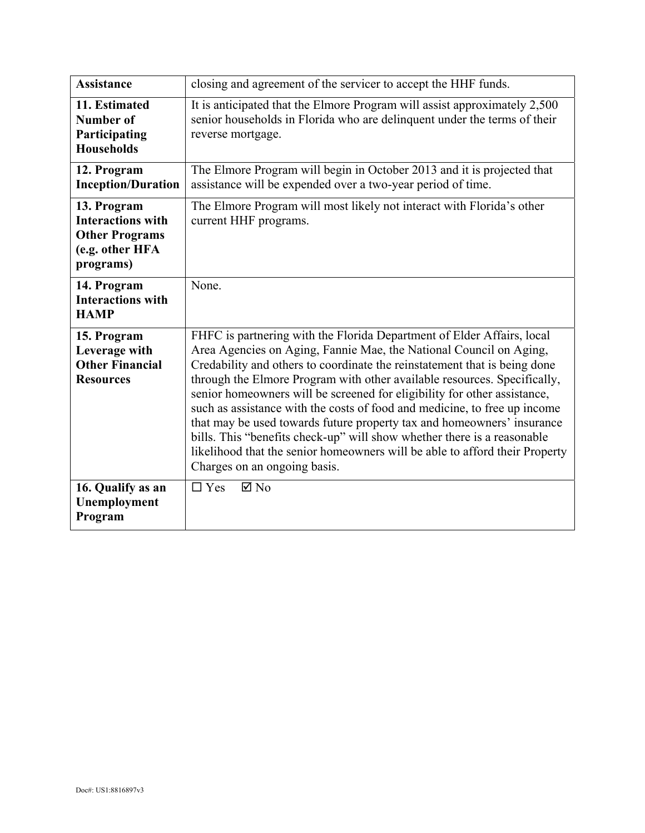| <b>Assistance</b>                                                                                | closing and agreement of the servicer to accept the HHF funds.                                                                                                                                                                                                                                                                                                                                                                                                                                                                                                                                                                                                                                                                     |
|--------------------------------------------------------------------------------------------------|------------------------------------------------------------------------------------------------------------------------------------------------------------------------------------------------------------------------------------------------------------------------------------------------------------------------------------------------------------------------------------------------------------------------------------------------------------------------------------------------------------------------------------------------------------------------------------------------------------------------------------------------------------------------------------------------------------------------------------|
| 11. Estimated<br><b>Number of</b><br>Participating<br><b>Households</b>                          | It is anticipated that the Elmore Program will assist approximately 2,500<br>senior households in Florida who are delinquent under the terms of their<br>reverse mortgage.                                                                                                                                                                                                                                                                                                                                                                                                                                                                                                                                                         |
| 12. Program<br><b>Inception/Duration</b>                                                         | The Elmore Program will begin in October 2013 and it is projected that<br>assistance will be expended over a two-year period of time.                                                                                                                                                                                                                                                                                                                                                                                                                                                                                                                                                                                              |
| 13. Program<br><b>Interactions with</b><br><b>Other Programs</b><br>(e.g. other HFA<br>programs) | The Elmore Program will most likely not interact with Florida's other<br>current HHF programs.                                                                                                                                                                                                                                                                                                                                                                                                                                                                                                                                                                                                                                     |
| 14. Program<br><b>Interactions with</b><br><b>HAMP</b>                                           | None.                                                                                                                                                                                                                                                                                                                                                                                                                                                                                                                                                                                                                                                                                                                              |
| 15. Program<br>Leverage with<br><b>Other Financial</b><br><b>Resources</b>                       | FHFC is partnering with the Florida Department of Elder Affairs, local<br>Area Agencies on Aging, Fannie Mae, the National Council on Aging,<br>Credability and others to coordinate the reinstatement that is being done<br>through the Elmore Program with other available resources. Specifically,<br>senior homeowners will be screened for eligibility for other assistance,<br>such as assistance with the costs of food and medicine, to free up income<br>that may be used towards future property tax and homeowners' insurance<br>bills. This "benefits check-up" will show whether there is a reasonable<br>likelihood that the senior homeowners will be able to afford their Property<br>Charges on an ongoing basis. |
| 16. Qualify as an<br>Unemployment<br>Program                                                     | $\Box$ Yes<br>$\boxtimes$ No                                                                                                                                                                                                                                                                                                                                                                                                                                                                                                                                                                                                                                                                                                       |